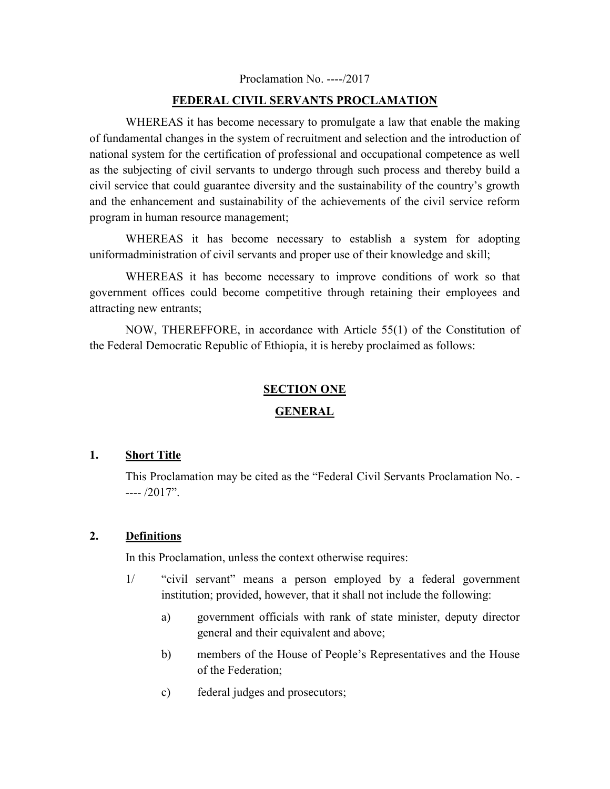#### Proclamation No. ----/2017

#### **FEDERAL CIVIL SERVANTS PROCLAMATION**

WHEREAS it has become necessary to promulgate a law that enable the making of fundamental changes in the system of recruitment and selection and the introduction of national system for the certification of professional and occupational competence as well as the subjecting of civil servants to undergo through such process and thereby build a civil service that could guarantee diversity and the sustainability of the country's growth and the enhancement and sustainability of the achievements of the civil service reform program in human resource management;

WHEREAS it has become necessary to establish a system for adopting uniformadministration of civil servants and proper use of their knowledge and skill;

 WHEREAS it has become necessary to improve conditions of work so that government offices could become competitive through retaining their employees and attracting new entrants;

 NOW, THEREFFORE, in accordance with Article 55(1) of the Constitution of the Federal Democratic Republic of Ethiopia, it is hereby proclaimed as follows:

#### **SECTION ONE**

#### **GENERAL**

#### **1. Short Title**

This Proclamation may be cited as the "Federal Civil Servants Proclamation No. -  $--- / 2017$ ".

#### **2. Definitions**

In this Proclamation, unless the context otherwise requires:

- 1/ "civil servant" means a person employed by a federal government institution; provided, however, that it shall not include the following:
	- a) government officials with rank of state minister, deputy director general and their equivalent and above;
	- b) members of the House of People's Representatives and the House of the Federation;
	- c) federal judges and prosecutors;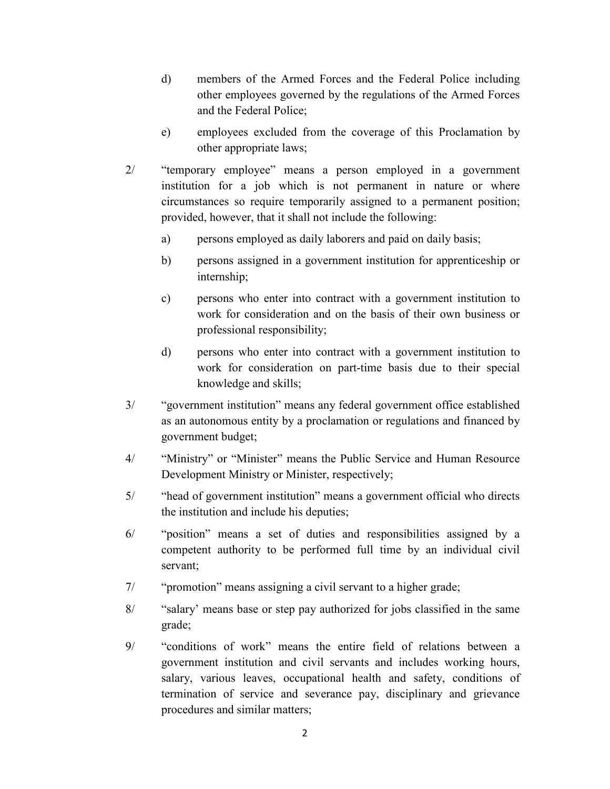- d) members of the Armed Forces and the Federal Police including other employees governed by the regulations of the Armed Forces and the Federal Police;
- e) employees excluded from the coverage of this Proclamation by other appropriate laws;
- 2/ "temporary employee" means a person employed in a government institution for a job which is not permanent in nature or where circumstances so require temporarily assigned to a permanent position; provided, however, that it shall not include the following:
	- a) persons employed as daily laborers and paid on daily basis;
	- b) persons assigned in a government institution for apprenticeship or internship;
	- c) persons who enter into contract with a government institution to work for consideration and on the basis of their own business or professional responsibility;
	- d) persons who enter into contract with a government institution to work for consideration on part-time basis due to their special knowledge and skills;
- 3/ "government institution" means any federal government office established as an autonomous entity by a proclamation or regulations and financed by government budget;
- 4/ "Ministry" or "Minister" means the Public Service and Human Resource Development Ministry or Minister, respectively;
- 5/ "head of government institution" means a government official who directs the institution and include his deputies;
- 6/ "position" means a set of duties and responsibilities assigned by a competent authority to be performed full time by an individual civil servant;
- 7/ "promotion" means assigning a civil servant to a higher grade;
- 8/ "salary' means base or step pay authorized for jobs classified in the same grade;
- 9/ "conditions of work" means the entire field of relations between a government institution and civil servants and includes working hours, salary, various leaves, occupational health and safety, conditions of termination of service and severance pay, disciplinary and grievance procedures and similar matters;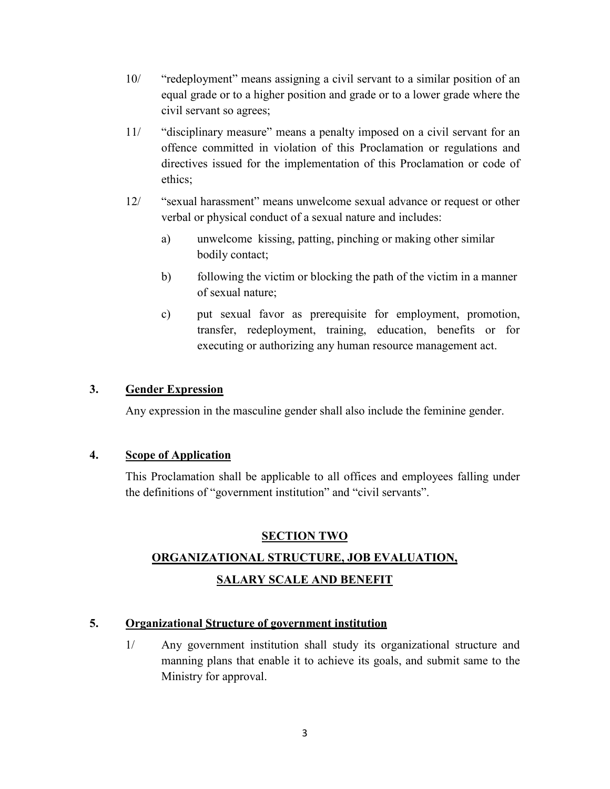- 10/ "redeployment" means assigning a civil servant to a similar position of an equal grade or to a higher position and grade or to a lower grade where the civil servant so agrees;
- 11/ "disciplinary measure" means a penalty imposed on a civil servant for an offence committed in violation of this Proclamation or regulations and directives issued for the implementation of this Proclamation or code of ethics;
- 12/ "sexual harassment" means unwelcome sexual advance or request or other verbal or physical conduct of a sexual nature and includes:
	- a) unwelcome kissing, patting, pinching or making other similar bodily contact;
	- b) following the victim or blocking the path of the victim in a manner of sexual nature;
	- c) put sexual favor as prerequisite for employment, promotion, transfer, redeployment, training, education, benefits or for executing or authorizing any human resource management act.

## **3. Gender Expression**

Any expression in the masculine gender shall also include the feminine gender.

## **4. Scope of Application**

This Proclamation shall be applicable to all offices and employees falling under the definitions of "government institution" and "civil servants".

## **SECTION TWO**

# **ORGANIZATIONAL STRUCTURE, JOB EVALUATION, SALARY SCALE AND BENEFIT**

## **5. Organizational Structure of government institution**

1/ Any government institution shall study its organizational structure and manning plans that enable it to achieve its goals, and submit same to the Ministry for approval.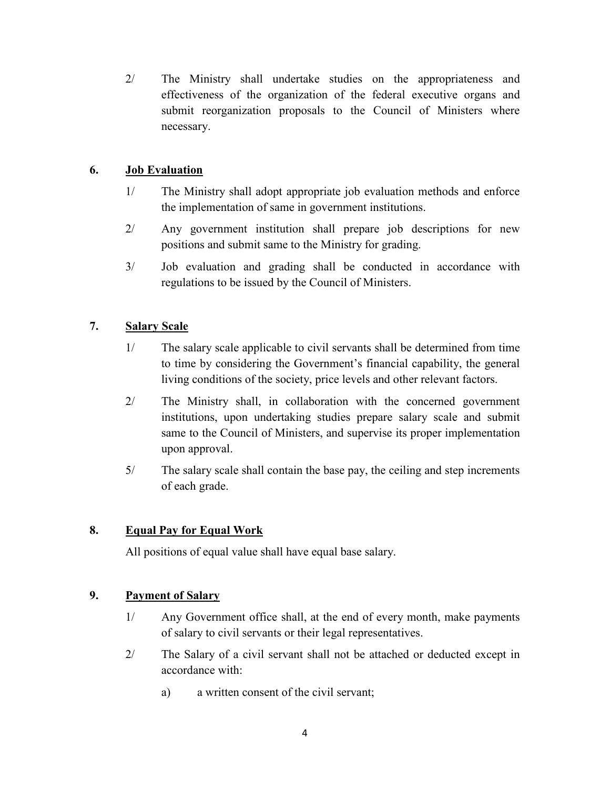2/ The Ministry shall undertake studies on the appropriateness and effectiveness of the organization of the federal executive organs and submit reorganization proposals to the Council of Ministers where necessary.

## **6. Job Evaluation**

- 1/ The Ministry shall adopt appropriate job evaluation methods and enforce the implementation of same in government institutions.
- 2/ Any government institution shall prepare job descriptions for new positions and submit same to the Ministry for grading.
- 3/ Job evaluation and grading shall be conducted in accordance with regulations to be issued by the Council of Ministers.

# **7. Salary Scale**

- 1/ The salary scale applicable to civil servants shall be determined from time to time by considering the Government's financial capability, the general living conditions of the society, price levels and other relevant factors.
- 2/ The Ministry shall, in collaboration with the concerned government institutions, upon undertaking studies prepare salary scale and submit same to the Council of Ministers, and supervise its proper implementation upon approval.
- 5/ The salary scale shall contain the base pay, the ceiling and step increments of each grade.

# **8. Equal Pay for Equal Work**

All positions of equal value shall have equal base salary.

## **9. Payment of Salary**

- 1/ Any Government office shall, at the end of every month, make payments of salary to civil servants or their legal representatives.
- 2/ The Salary of a civil servant shall not be attached or deducted except in accordance with:
	- a) a written consent of the civil servant;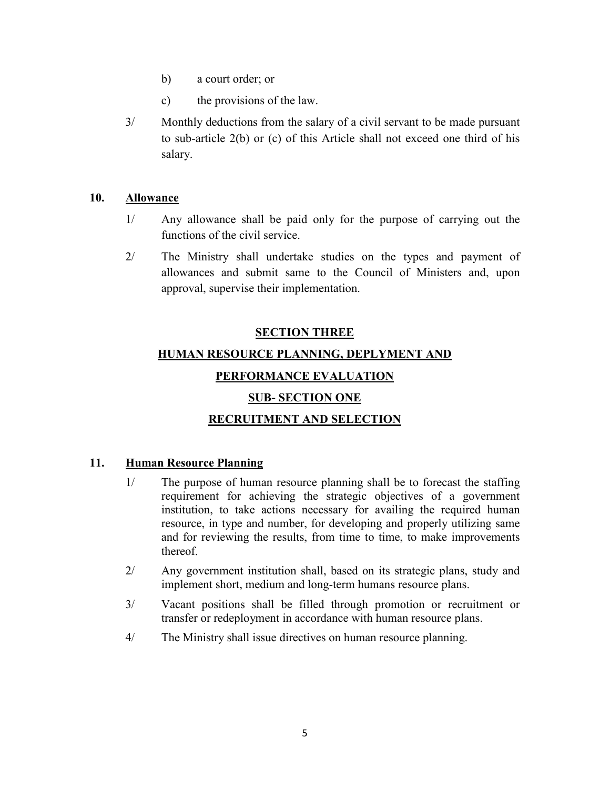- b) a court order; or
- c) the provisions of the law.
- 3/ Monthly deductions from the salary of a civil servant to be made pursuant to sub-article 2(b) or (c) of this Article shall not exceed one third of his salary.

#### **10. Allowance**

- 1/ Any allowance shall be paid only for the purpose of carrying out the functions of the civil service.
- 2/ The Ministry shall undertake studies on the types and payment of allowances and submit same to the Council of Ministers and, upon approval, supervise their implementation.

#### **SECTION THREE**

# **HUMAN RESOURCE PLANNING, DEPLYMENT AND**

# **PERFORMANCE EVALUATION**

## **SUB- SECTION ONE**

# **RECRUITMENT AND SELECTION**

## **11. Human Resource Planning**

- 1/ The purpose of human resource planning shall be to forecast the staffing requirement for achieving the strategic objectives of a government institution, to take actions necessary for availing the required human resource, in type and number, for developing and properly utilizing same and for reviewing the results, from time to time, to make improvements thereof.
- 2/ Any government institution shall, based on its strategic plans, study and implement short, medium and long-term humans resource plans.
- 3/ Vacant positions shall be filled through promotion or recruitment or transfer or redeployment in accordance with human resource plans.
- 4/ The Ministry shall issue directives on human resource planning.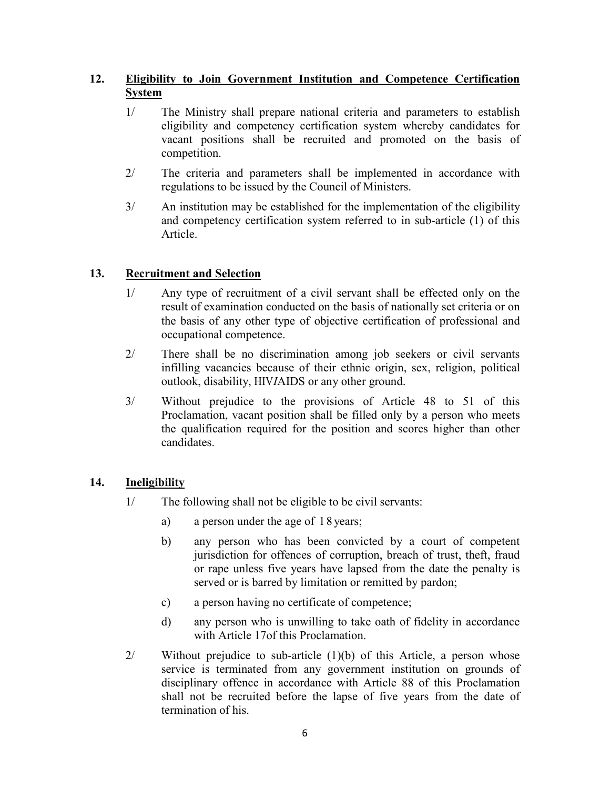# **12. Eligibility to Join Government Institution and Competence Certification System**

- 1/ The Ministry shall prepare national criteria and parameters to establish eligibility and competency certification system whereby candidates for vacant positions shall be recruited and promoted on the basis of competition.
- 2/ The criteria and parameters shall be implemented in accordance with regulations to be issued by the Council of Ministers.
- 3/ An institution may be established for the implementation of the eligibility and competency certification system referred to in sub-article (1) of this Article.

# **13. Recruitment and Selection**

- 1/ Any type of recruitment of a civil servant shall be effected only on the result of examination conducted on the basis of nationally set criteria or on the basis of any other type of objective certification of professional and occupational competence.
- 2/ There shall be no discrimination among job seekers or civil servants infilling vacancies because of their ethnic origin, sex, religion, political outlook, disability, HIV*I*AIDS or any other ground.
- 3/ Without prejudice to the provisions of Article 48 to 51 of this Proclamation, vacant position shall be filled only by a person who meets the qualification required for the position and scores higher than other candidates.

## **14. Ineligibility**

- 1/ The following shall not be eligible to be civil servants:
	- a) a person under the age of 18 years;
	- b) any person who has been convicted by a court of competent jurisdiction for offences of corruption, breach of trust, theft, fraud or rape unless five years have lapsed from the date the penalty is served or is barred by limitation or remitted by pardon;
	- c) a person having no certificate of competence;
	- d) any person who is unwilling to take oath of fidelity in accordance with Article 17of this Proclamation.
- 2/ Without prejudice to sub-article (1)(b) of this Article, a person whose service is terminated from any government institution on grounds of disciplinary offence in accordance with Article 88 of this Proclamation shall not be recruited before the lapse of five years from the date of termination of his.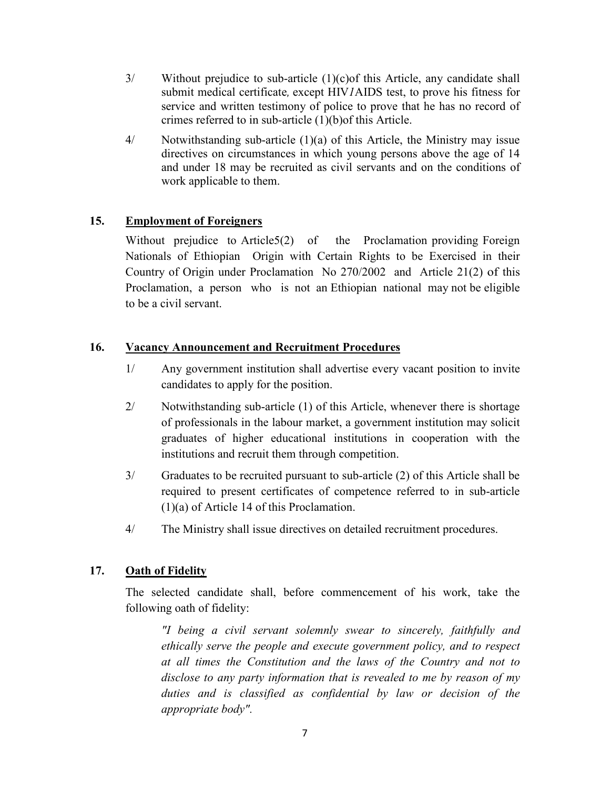- 3/ Without prejudice to sub-article (1)(c)of this Article, any candidate shall submit medical certificate, except HIV*1*AIDS test, to prove his fitness for service and written testimony of police to prove that he has no record of crimes referred to in sub-article (1)(b)of this Article.
- 4/ Notwithstanding sub-article (1)(a) of this Article, the Ministry may issue directives on circumstances in which young persons above the age of 14 and under 18 may be recruited as civil servants and on the conditions of work applicable to them.

# **15. Employment of Foreigners**

Without prejudice to Article5(2) of the Proclamation providing Foreign Nationals of Ethiopian Origin with Certain Rights to be Exercised in their Country of Origin under Proclamation No 270/2002 and Article 21(2) of this Proclamation, a person who is not an Ethiopian national may not be eligible to be a civil servant.

# **16. Vacancy Announcement and Recruitment Procedures**

- 1/ Any government institution shall advertise every vacant position to invite candidates to apply for the position.
- 2/ Notwithstanding sub-article (1) of this Article, whenever there is shortage of professionals in the labour market, a government institution may solicit graduates of higher educational institutions in cooperation with the institutions and recruit them through competition.
- 3/ Graduates to be recruited pursuant to sub-article (2) of this Article shall be required to present certificates of competence referred to in sub-article (1)(a) of Article 14 of this Proclamation.
- 4/ The Ministry shall issue directives on detailed recruitment procedures.

## **17. Oath of Fidelity**

The selected candidate shall, before commencement of his work, take the following oath of fidelity:

*"I being a civil servant solemnly swear to sincerely, faithfully and ethically serve the people and execute government policy, and to respect at all times the Constitution and the laws of the Country and not to disclose to any party information that is revealed to me by reason of my duties and is classified as confidential by law or decision of the appropriate body".*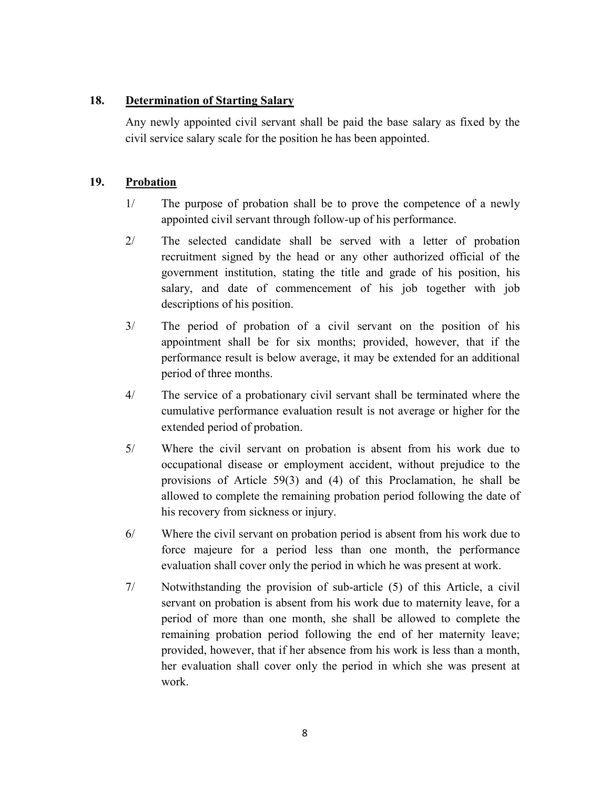## **18. Determination of Starting Salary**

Any newly appointed civil servant shall be paid the base salary as fixed by the civil service salary scale for the position he has been appointed.

## **19. Probation**

- 1/ The purpose of probation shall be to prove the competence of a newly appointed civil servant through follow-up of his performance.
- 2/ The selected candidate shall be served with a letter of probation recruitment signed by the head or any other authorized official of the government institution, stating the title and grade of his position, his salary, and date of commencement of his job together with job descriptions of his position.
- 3/ The period of probation of a civil servant on the position of his appointment shall be for six months; provided, however, that if the performance result is below average, it may be extended for an additional period of three months.
- 4/ The service of a probationary civil servant shall be terminated where the cumulative performance evaluation result is not average or higher for the extended period of probation.
- 5/ Where the civil servant on probation is absent from his work due to occupational disease or employment accident, without prejudice to the provisions of Article 59(3) and (4) of this Proclamation, he shall be allowed to complete the remaining probation period following the date of his recovery from sickness or injury.
- 6/ Where the civil servant on probation period is absent from his work due to force majeure for a period less than one month, the performance evaluation shall cover only the period in which he was present at work.
- 7/ Notwithstanding the provision of sub-article (5) of this Article, a civil servant on probation is absent from his work due to maternity leave, for a period of more than one month, she shall be allowed to complete the remaining probation period following the end of her maternity leave; provided, however, that if her absence from his work is less than a month, her evaluation shall cover only the period in which she was present at work.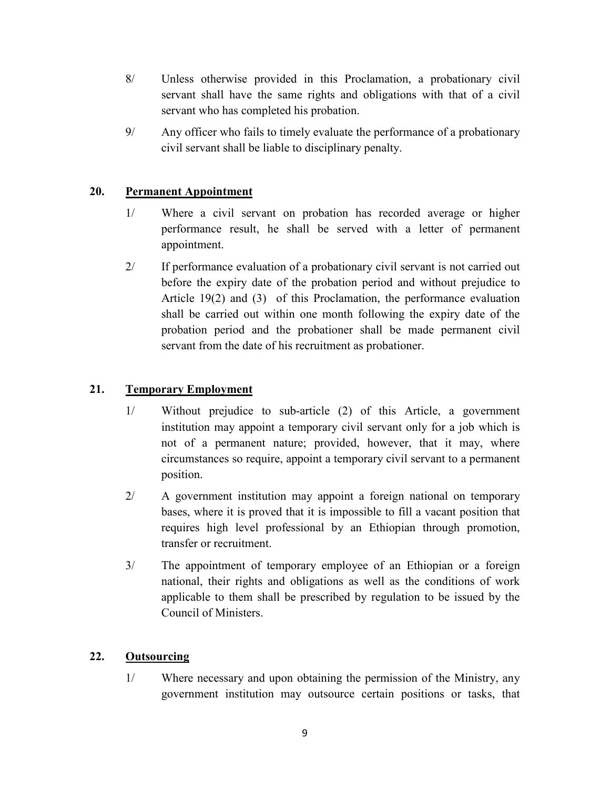- 8/ Unless otherwise provided in this Proclamation, a probationary civil servant shall have the same rights and obligations with that of a civil servant who has completed his probation.
- 9/ Any officer who fails to timely evaluate the performance of a probationary civil servant shall be liable to disciplinary penalty.

## **20. Permanent Appointment**

- 1/ Where a civil servant on probation has recorded average or higher performance result, he shall be served with a letter of permanent appointment.
- 2/ If performance evaluation of a probationary civil servant is not carried out before the expiry date of the probation period and without prejudice to Article 19(2) and (3) of this Proclamation, the performance evaluation shall be carried out within one month following the expiry date of the probation period and the probationer shall be made permanent civil servant from the date of his recruitment as probationer.

# **21. Temporary Employment**

- 1/ Without prejudice to sub-article (2) of this Article, a government institution may appoint a temporary civil servant only for a job which is not of a permanent nature; provided, however, that it may, where circumstances so require, appoint a temporary civil servant to a permanent position.
- 2/ A government institution may appoint a foreign national on temporary bases, where it is proved that it is impossible to fill a vacant position that requires high level professional by an Ethiopian through promotion, transfer or recruitment.
- 3/ The appointment of temporary employee of an Ethiopian or a foreign national, their rights and obligations as well as the conditions of work applicable to them shall be prescribed by regulation to be issued by the Council of Ministers.

## **22. Outsourcing**

1/ Where necessary and upon obtaining the permission of the Ministry, any government institution may outsource certain positions or tasks, that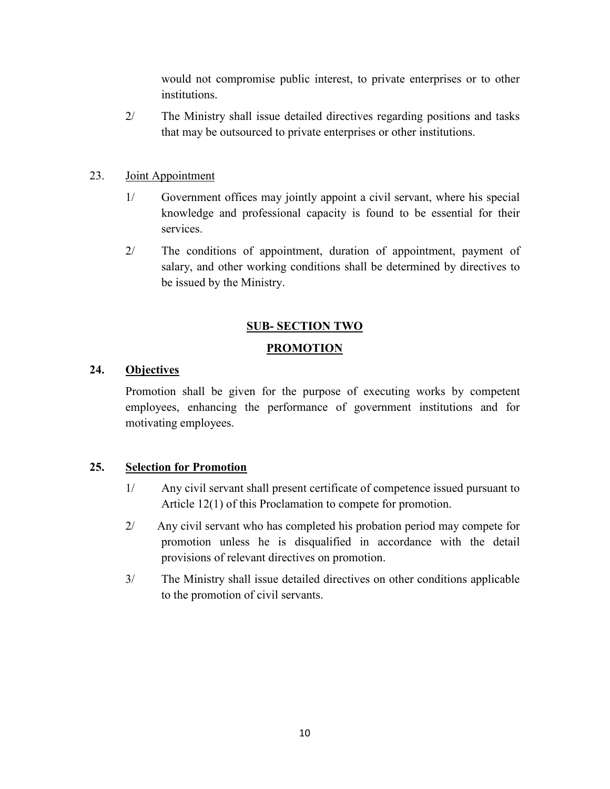would not compromise public interest, to private enterprises or to other institutions.

2/ The Ministry shall issue detailed directives regarding positions and tasks that may be outsourced to private enterprises or other institutions.

#### 23. Joint Appointment

- 1/ Government offices may jointly appoint a civil servant, where his special knowledge and professional capacity is found to be essential for their services.
- 2/ The conditions of appointment, duration of appointment, payment of salary, and other working conditions shall be determined by directives to be issued by the Ministry.

# **SUB- SECTION TWO**

#### **PROMOTION**

## **24. Objectives**

Promotion shall be given for the purpose of executing works by competent employees, enhancing the performance of government institutions and for motivating employees.

## **25. Selection for Promotion**

- 1/ Any civil servant shall present certificate of competence issued pursuant to Article 12(1) of this Proclamation to compete for promotion.
- 2/ Any civil servant who has completed his probation period may compete for promotion unless he is disqualified in accordance with the detail provisions of relevant directives on promotion.
- 3/ The Ministry shall issue detailed directives on other conditions applicable to the promotion of civil servants.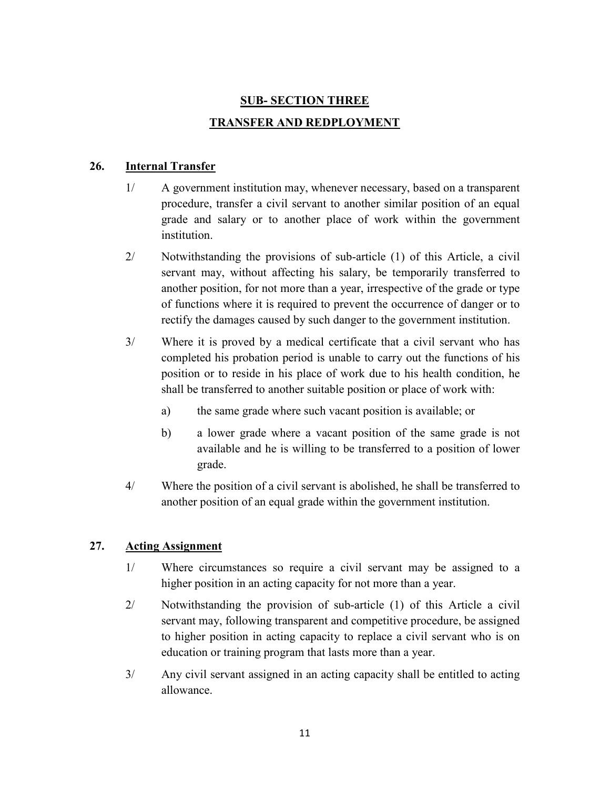# **SUB- SECTION THREE TRANSFER AND REDPLOYMENT**

# **26. Internal Transfer**

- 1/ A government institution may, whenever necessary, based on a transparent procedure, transfer a civil servant to another similar position of an equal grade and salary or to another place of work within the government **institution**
- 2/ Notwithstanding the provisions of sub-article (1) of this Article, a civil servant may, without affecting his salary, be temporarily transferred to another position, for not more than a year, irrespective of the grade or type of functions where it is required to prevent the occurrence of danger or to rectify the damages caused by such danger to the government institution.
- 3/ Where it is proved by a medical certificate that a civil servant who has completed his probation period is unable to carry out the functions of his position or to reside in his place of work due to his health condition, he shall be transferred to another suitable position or place of work with:
	- a) the same grade where such vacant position is available; or
	- b) a lower grade where a vacant position of the same grade is not available and he is willing to be transferred to a position of lower grade.
- 4/ Where the position of a civil servant is abolished, he shall be transferred to another position of an equal grade within the government institution.

# **27. Acting Assignment**

- 1/ Where circumstances so require a civil servant may be assigned to a higher position in an acting capacity for not more than a year.
- 2/ Notwithstanding the provision of sub-article (1) of this Article a civil servant may, following transparent and competitive procedure, be assigned to higher position in acting capacity to replace a civil servant who is on education or training program that lasts more than a year.
- 3/ Any civil servant assigned in an acting capacity shall be entitled to acting allowance.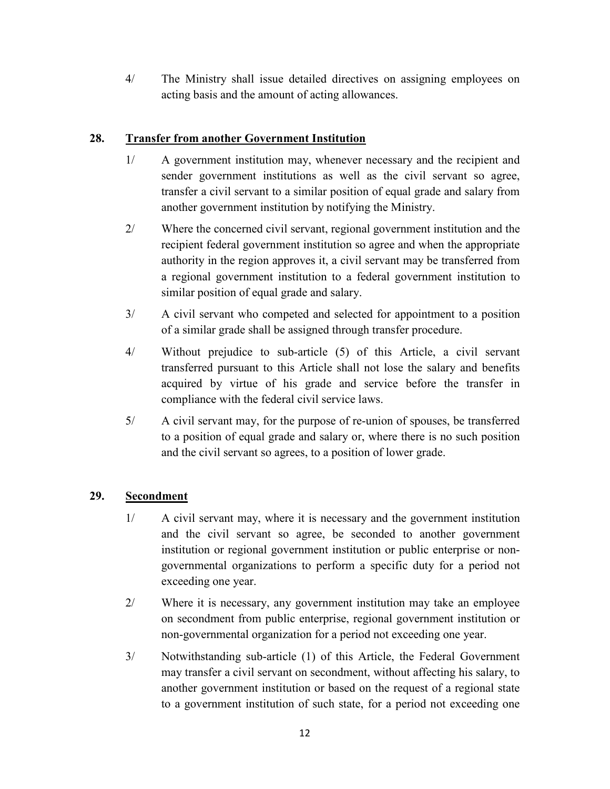4/ The Ministry shall issue detailed directives on assigning employees on acting basis and the amount of acting allowances.

# **28. Transfer from another Government Institution**

- 1/ A government institution may, whenever necessary and the recipient and sender government institutions as well as the civil servant so agree, transfer a civil servant to a similar position of equal grade and salary from another government institution by notifying the Ministry.
- 2/ Where the concerned civil servant, regional government institution and the recipient federal government institution so agree and when the appropriate authority in the region approves it, a civil servant may be transferred from a regional government institution to a federal government institution to similar position of equal grade and salary.
- 3/ A civil servant who competed and selected for appointment to a position of a similar grade shall be assigned through transfer procedure.
- 4/ Without prejudice to sub-article (5) of this Article, a civil servant transferred pursuant to this Article shall not lose the salary and benefits acquired by virtue of his grade and service before the transfer in compliance with the federal civil service laws.
- 5/ A civil servant may, for the purpose of re-union of spouses, be transferred to a position of equal grade and salary or, where there is no such position and the civil servant so agrees, to a position of lower grade.

# **29. Secondment**

- 1/ A civil servant may, where it is necessary and the government institution and the civil servant so agree, be seconded to another government institution or regional government institution or public enterprise or nongovernmental organizations to perform a specific duty for a period not exceeding one year.
- 2/ Where it is necessary, any government institution may take an employee on secondment from public enterprise, regional government institution or non-governmental organization for a period not exceeding one year.
- 3/ Notwithstanding sub-article (1) of this Article, the Federal Government may transfer a civil servant on secondment, without affecting his salary, to another government institution or based on the request of a regional state to a government institution of such state, for a period not exceeding one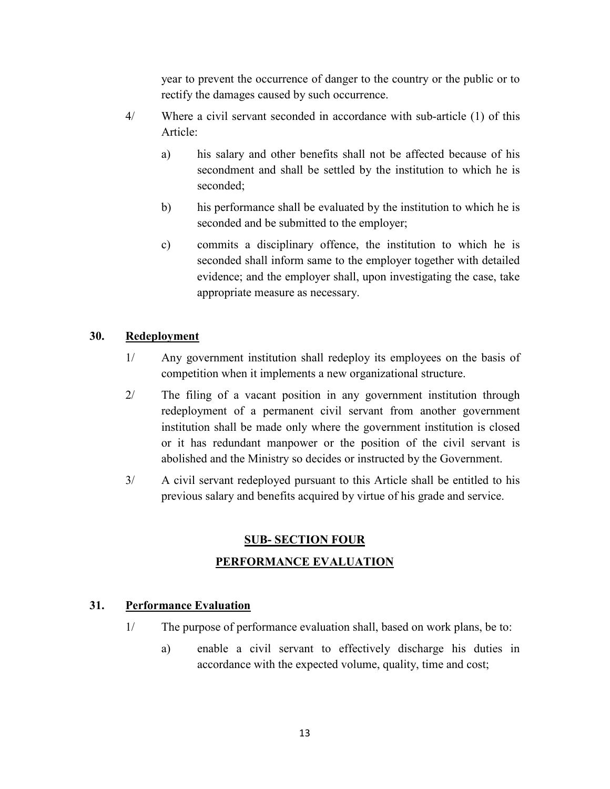year to prevent the occurrence of danger to the country or the public or to rectify the damages caused by such occurrence.

- 4/ Where a civil servant seconded in accordance with sub-article (1) of this Article:
	- a) his salary and other benefits shall not be affected because of his secondment and shall be settled by the institution to which he is seconded;
	- b) his performance shall be evaluated by the institution to which he is seconded and be submitted to the employer;
	- c) commits a disciplinary offence, the institution to which he is seconded shall inform same to the employer together with detailed evidence; and the employer shall, upon investigating the case, take appropriate measure as necessary.

## **30. Redeployment**

- 1/ Any government institution shall redeploy its employees on the basis of competition when it implements a new organizational structure.
- 2/ The filing of a vacant position in any government institution through redeployment of a permanent civil servant from another government institution shall be made only where the government institution is closed or it has redundant manpower or the position of the civil servant is abolished and the Ministry so decides or instructed by the Government.
- 3/ A civil servant redeployed pursuant to this Article shall be entitled to his previous salary and benefits acquired by virtue of his grade and service.

# **SUB- SECTION FOUR PERFORMANCE EVALUATION**

## **31. Performance Evaluation**

- 1/ The purpose of performance evaluation shall, based on work plans, be to:
	- a) enable a civil servant to effectively discharge his duties in accordance with the expected volume, quality, time and cost;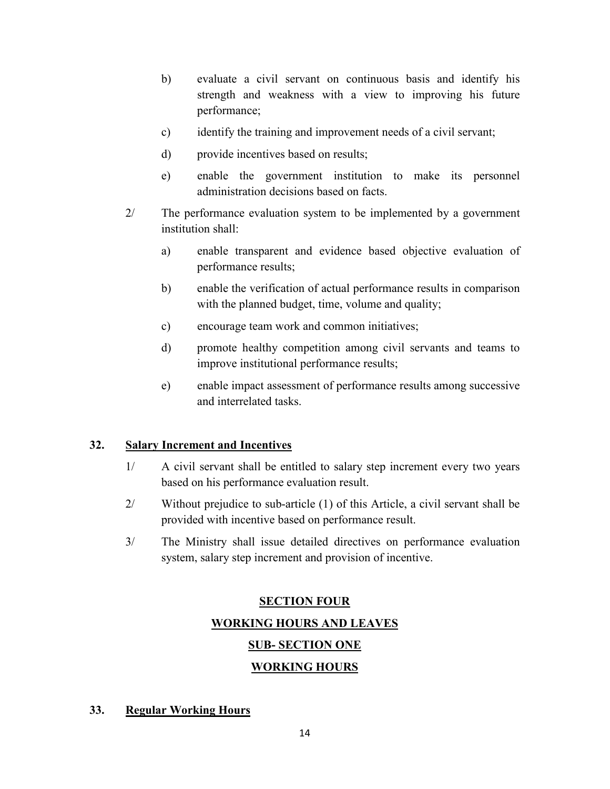- b) evaluate a civil servant on continuous basis and identify his strength and weakness with a view to improving his future performance;
- c) identify the training and improvement needs of a civil servant;
- d) provide incentives based on results;
- e) enable the government institution to make its personnel administration decisions based on facts.
- 2/ The performance evaluation system to be implemented by a government institution shall:
	- a) enable transparent and evidence based objective evaluation of performance results;
	- b) enable the verification of actual performance results in comparison with the planned budget, time, volume and quality;
	- c) encourage team work and common initiatives;
	- d) promote healthy competition among civil servants and teams to improve institutional performance results;
	- e) enable impact assessment of performance results among successive and interrelated tasks.

#### **32. Salary Increment and Incentives**

- 1/ A civil servant shall be entitled to salary step increment every two years based on his performance evaluation result.
- 2/ Without prejudice to sub-article (1) of this Article, a civil servant shall be provided with incentive based on performance result.
- 3/ The Ministry shall issue detailed directives on performance evaluation system, salary step increment and provision of incentive.

# **SECTION FOUR**

**WORKING HOURS AND LEAVES** 

## **SUB- SECTION ONE**

## **WORKING HOURS**

#### **33. Regular Working Hours**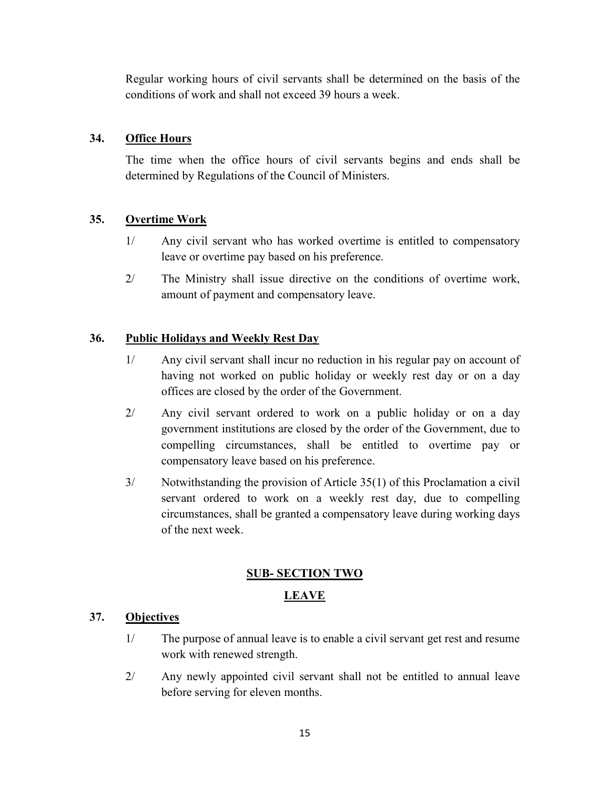Regular working hours of civil servants shall be determined on the basis of the conditions of work and shall not exceed 39 hours a week.

# **34. Office Hours**

The time when the office hours of civil servants begins and ends shall be determined by Regulations of the Council of Ministers.

# **35. Overtime Work**

- 1/ Any civil servant who has worked overtime is entitled to compensatory leave or overtime pay based on his preference.
- 2/ The Ministry shall issue directive on the conditions of overtime work, amount of payment and compensatory leave.

# **36. Public Holidays and Weekly Rest Day**

- 1/ Any civil servant shall incur no reduction in his regular pay on account of having not worked on public holiday or weekly rest day or on a day offices are closed by the order of the Government.
- 2/ Any civil servant ordered to work on a public holiday or on a day government institutions are closed by the order of the Government, due to compelling circumstances, shall be entitled to overtime pay or compensatory leave based on his preference.
- 3/ Notwithstanding the provision of Article 35(1) of this Proclamation a civil servant ordered to work on a weekly rest day, due to compelling circumstances, shall be granted a compensatory leave during working days of the next week.

# **SUB- SECTION TWO**

# **LEAVE**

# **37. Objectives**

- 1/ The purpose of annual leave is to enable a civil servant get rest and resume work with renewed strength.
- 2/ Any newly appointed civil servant shall not be entitled to annual leave before serving for eleven months.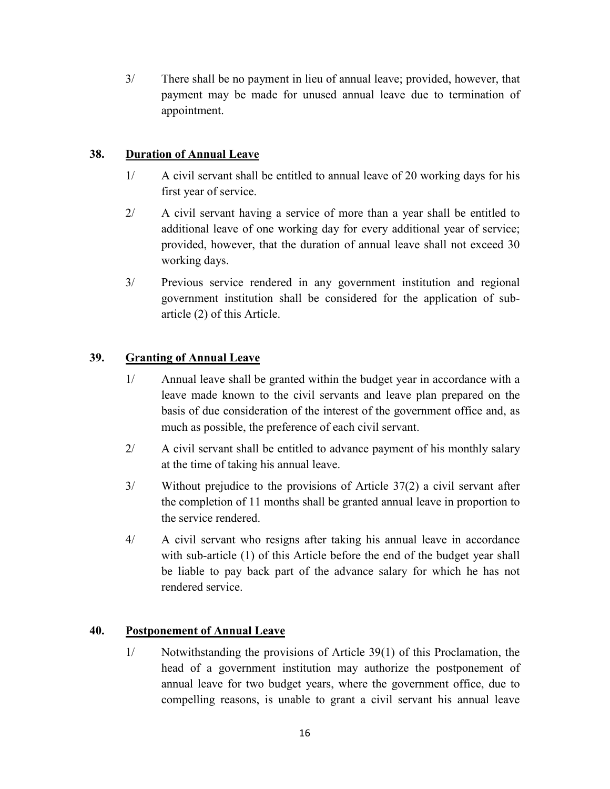3/ There shall be no payment in lieu of annual leave; provided, however, that payment may be made for unused annual leave due to termination of appointment.

# **38. Duration of Annual Leave**

- 1/ A civil servant shall be entitled to annual leave of 20 working days for his first year of service.
- 2/ A civil servant having a service of more than a year shall be entitled to additional leave of one working day for every additional year of service; provided, however, that the duration of annual leave shall not exceed 30 working days.
- 3/ Previous service rendered in any government institution and regional government institution shall be considered for the application of subarticle (2) of this Article.

# **39. Granting of Annual Leave**

- 1/ Annual leave shall be granted within the budget year in accordance with a leave made known to the civil servants and leave plan prepared on the basis of due consideration of the interest of the government office and, as much as possible, the preference of each civil servant.
- 2/ A civil servant shall be entitled to advance payment of his monthly salary at the time of taking his annual leave.
- 3/ Without prejudice to the provisions of Article 37(2) a civil servant after the completion of 11 months shall be granted annual leave in proportion to the service rendered.
- 4/ A civil servant who resigns after taking his annual leave in accordance with sub-article (1) of this Article before the end of the budget year shall be liable to pay back part of the advance salary for which he has not rendered service.

## **40. Postponement of Annual Leave**

1/ Notwithstanding the provisions of Article 39(1) of this Proclamation, the head of a government institution may authorize the postponement of annual leave for two budget years, where the government office, due to compelling reasons, is unable to grant a civil servant his annual leave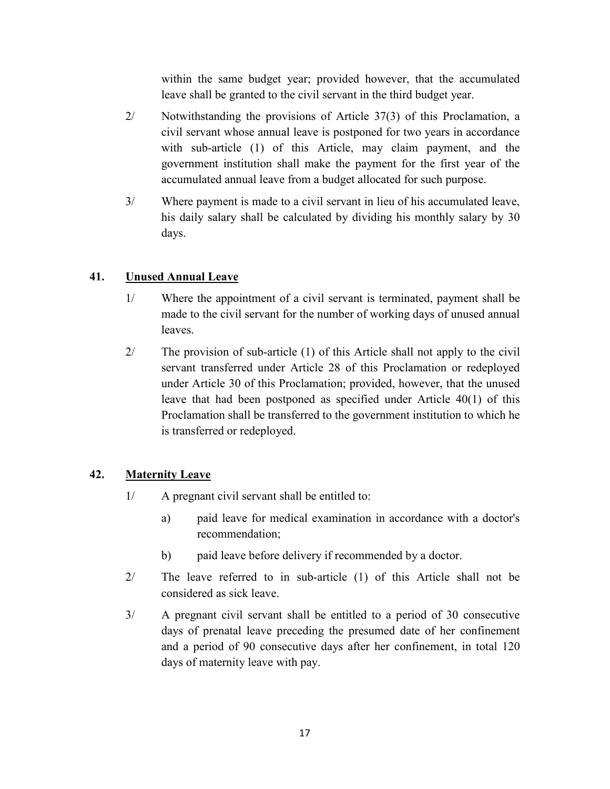within the same budget year; provided however, that the accumulated leave shall be granted to the civil servant in the third budget year.

- 2/ Notwithstanding the provisions of Article 37(3) of this Proclamation, a civil servant whose annual leave is postponed for two years in accordance with sub-article (1) of this Article, may claim payment, and the government institution shall make the payment for the first year of the accumulated annual leave from a budget allocated for such purpose.
- 3/ Where payment is made to a civil servant in lieu of his accumulated leave, his daily salary shall be calculated by dividing his monthly salary by 30 days.

# **41. Unused Annual Leave**

- 1/ Where the appointment of a civil servant is terminated, payment shall be made to the civil servant for the number of working days of unused annual leaves.
- 2/ The provision of sub-article (1) of this Article shall not apply to the civil servant transferred under Article 28 of this Proclamation or redeployed under Article 30 of this Proclamation; provided, however, that the unused leave that had been postponed as specified under Article 40(1) of this Proclamation shall be transferred to the government institution to which he is transferred or redeployed.

# **42. Maternity Leave**

- 1/ A pregnant civil servant shall be entitled to:
	- a) paid leave for medical examination in accordance with a doctor's recommendation;
	- b) paid leave before delivery if recommended by a doctor.
- 2/ The leave referred to in sub-article (1) of this Article shall not be considered as sick leave.
- 3/ A pregnant civil servant shall be entitled to a period of 30 consecutive days of prenatal leave preceding the presumed date of her confinement and a period of 90 consecutive days after her confinement, in total 120 days of maternity leave with pay.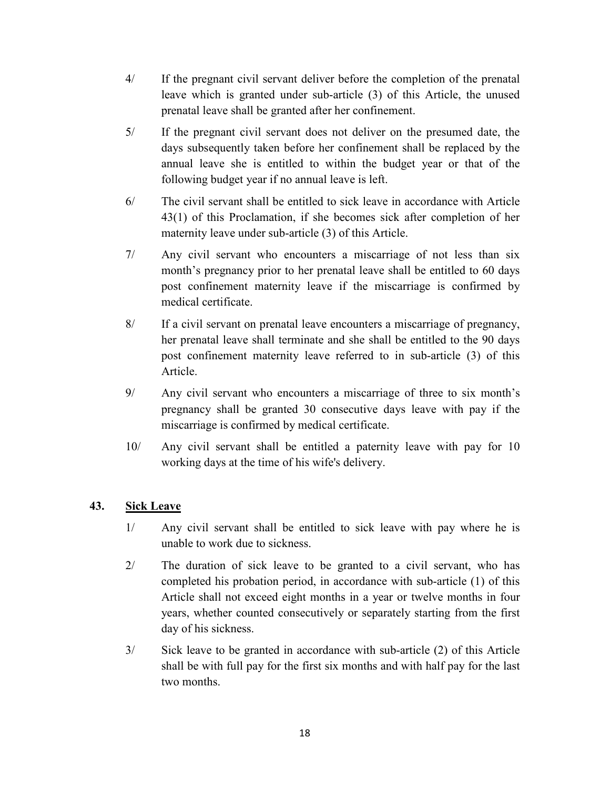- 4/ If the pregnant civil servant deliver before the completion of the prenatal leave which is granted under sub-article (3) of this Article, the unused prenatal leave shall be granted after her confinement.
- 5/ If the pregnant civil servant does not deliver on the presumed date, the days subsequently taken before her confinement shall be replaced by the annual leave she is entitled to within the budget year or that of the following budget year if no annual leave is left.
- 6/ The civil servant shall be entitled to sick leave in accordance with Article 43(1) of this Proclamation, if she becomes sick after completion of her maternity leave under sub-article (3) of this Article.
- 7/ Any civil servant who encounters a miscarriage of not less than six month's pregnancy prior to her prenatal leave shall be entitled to 60 days post confinement maternity leave if the miscarriage is confirmed by medical certificate.
- 8/ If a civil servant on prenatal leave encounters a miscarriage of pregnancy, her prenatal leave shall terminate and she shall be entitled to the 90 days post confinement maternity leave referred to in sub-article (3) of this Article.
- 9/ Any civil servant who encounters a miscarriage of three to six month's pregnancy shall be granted 30 consecutive days leave with pay if the miscarriage is confirmed by medical certificate.
- 10/ Any civil servant shall be entitled a paternity leave with pay for 10 working days at the time of his wife's delivery.

## **43. Sick Leave**

- 1/ Any civil servant shall be entitled to sick leave with pay where he is unable to work due to sickness.
- 2/ The duration of sick leave to be granted to a civil servant, who has completed his probation period, in accordance with sub-article (1) of this Article shall not exceed eight months in a year or twelve months in four years, whether counted consecutively or separately starting from the first day of his sickness.
- 3/ Sick leave to be granted in accordance with sub-article (2) of this Article shall be with full pay for the first six months and with half pay for the last two months.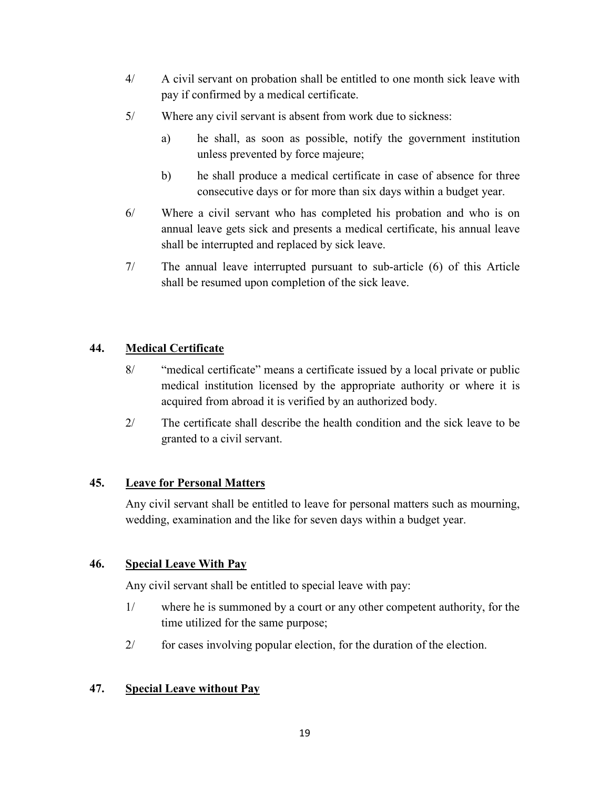- 4/ A civil servant on probation shall be entitled to one month sick leave with pay if confirmed by a medical certificate.
- 5/ Where any civil servant is absent from work due to sickness:
	- a) he shall, as soon as possible, notify the government institution unless prevented by force majeure;
	- b) he shall produce a medical certificate in case of absence for three consecutive days or for more than six days within a budget year.
- 6/ Where a civil servant who has completed his probation and who is on annual leave gets sick and presents a medical certificate, his annual leave shall be interrupted and replaced by sick leave.
- 7/ The annual leave interrupted pursuant to sub-article (6) of this Article shall be resumed upon completion of the sick leave.

# **44. Medical Certificate**

- 8/ "medical certificate" means a certificate issued by a local private or public medical institution licensed by the appropriate authority or where it is acquired from abroad it is verified by an authorized body.
- 2/ The certificate shall describe the health condition and the sick leave to be granted to a civil servant.

## **45. Leave for Personal Matters**

Any civil servant shall be entitled to leave for personal matters such as mourning, wedding, examination and the like for seven days within a budget year.

## **46. Special Leave With Pay**

Any civil servant shall be entitled to special leave with pay:

- 1/ where he is summoned by a court or any other competent authority, for the time utilized for the same purpose;
- 2/ for cases involving popular election, for the duration of the election.

## **47. Special Leave without Pay**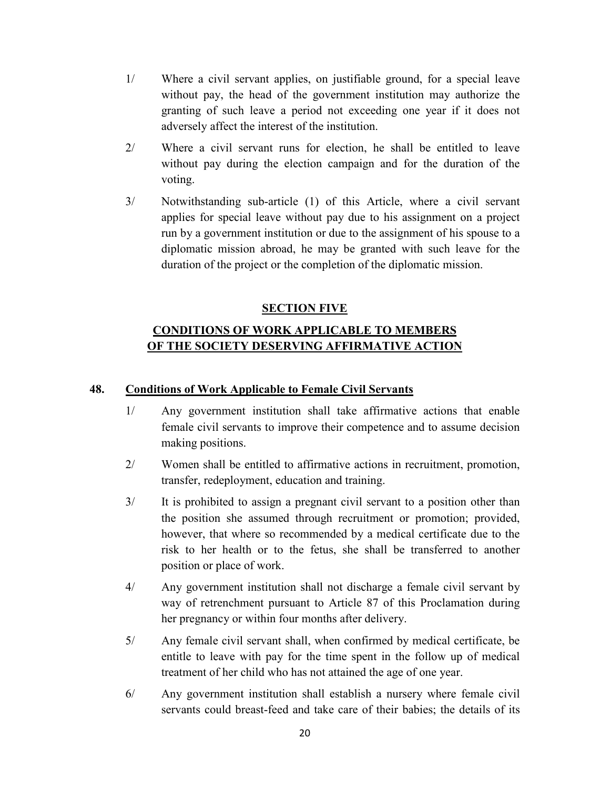- 1/ Where a civil servant applies, on justifiable ground, for a special leave without pay, the head of the government institution may authorize the granting of such leave a period not exceeding one year if it does not adversely affect the interest of the institution.
- 2/ Where a civil servant runs for election, he shall be entitled to leave without pay during the election campaign and for the duration of the voting.
- 3/ Notwithstanding sub-article (1) of this Article, where a civil servant applies for special leave without pay due to his assignment on a project run by a government institution or due to the assignment of his spouse to a diplomatic mission abroad, he may be granted with such leave for the duration of the project or the completion of the diplomatic mission.

## **SECTION FIVE**

# **CONDITIONS OF WORK APPLICABLE TO MEMBERS OF THE SOCIETY DESERVING AFFIRMATIVE ACTION**

#### **48. Conditions of Work Applicable to Female Civil Servants**

- 1/ Any government institution shall take affirmative actions that enable female civil servants to improve their competence and to assume decision making positions.
- 2/ Women shall be entitled to affirmative actions in recruitment, promotion, transfer, redeployment, education and training.
- 3/ It is prohibited to assign a pregnant civil servant to a position other than the position she assumed through recruitment or promotion; provided, however, that where so recommended by a medical certificate due to the risk to her health or to the fetus, she shall be transferred to another position or place of work.
- 4/ Any government institution shall not discharge a female civil servant by way of retrenchment pursuant to Article 87 of this Proclamation during her pregnancy or within four months after delivery.
- 5/ Any female civil servant shall, when confirmed by medical certificate, be entitle to leave with pay for the time spent in the follow up of medical treatment of her child who has not attained the age of one year.
- 6/ Any government institution shall establish a nursery where female civil servants could breast-feed and take care of their babies; the details of its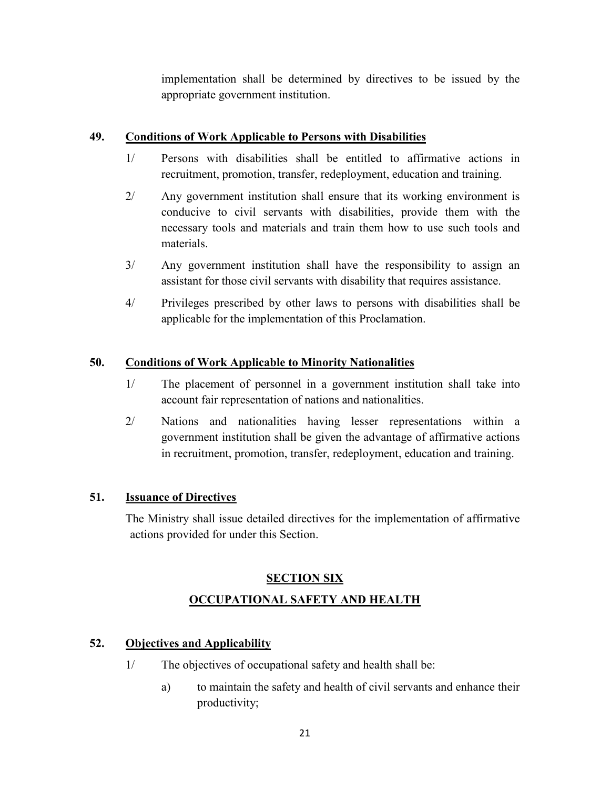implementation shall be determined by directives to be issued by the appropriate government institution.

# **49. Conditions of Work Applicable to Persons with Disabilities**

- 1/ Persons with disabilities shall be entitled to affirmative actions in recruitment, promotion, transfer, redeployment, education and training.
- 2/ Any government institution shall ensure that its working environment is conducive to civil servants with disabilities, provide them with the necessary tools and materials and train them how to use such tools and materials.
- 3/ Any government institution shall have the responsibility to assign an assistant for those civil servants with disability that requires assistance.
- 4/ Privileges prescribed by other laws to persons with disabilities shall be applicable for the implementation of this Proclamation.

# **50. Conditions of Work Applicable to Minority Nationalities**

- 1/ The placement of personnel in a government institution shall take into account fair representation of nations and nationalities.
- 2/ Nations and nationalities having lesser representations within a government institution shall be given the advantage of affirmative actions in recruitment, promotion, transfer, redeployment, education and training.

## **51. Issuance of Directives**

The Ministry shall issue detailed directives for the implementation of affirmative actions provided for under this Section.

# **SECTION SIX OCCUPATIONAL SAFETY AND HEALTH**

# **52. Objectives and Applicability**

- 1/ The objectives of occupational safety and health shall be:
	- a) to maintain the safety and health of civil servants and enhance their productivity;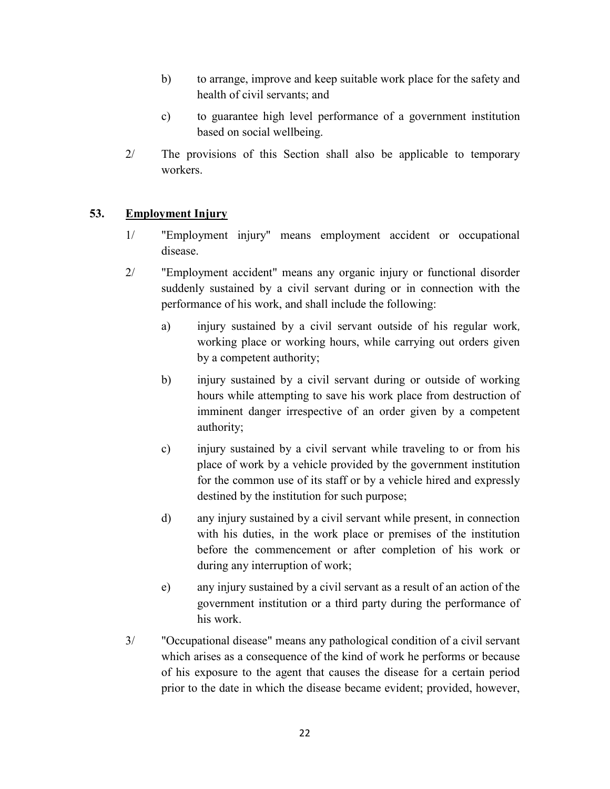- b) to arrange, improve and keep suitable work place for the safety and health of civil servants; and
- c) to guarantee high level performance of a government institution based on social wellbeing.
- 2/ The provisions of this Section shall also be applicable to temporary workers.

# **53. Employment Injury**

- 1/ "Employment injury" means employment accident or occupational disease.
- 2/ "Employment accident" means any organic injury or functional disorder suddenly sustained by a civil servant during or in connection with the performance of his work, and shall include the following:
	- a) injury sustained by a civil servant outside of his regular work, working place or working hours, while carrying out orders given by a competent authority;
	- b) injury sustained by a civil servant during or outside of working hours while attempting to save his work place from destruction of imminent danger irrespective of an order given by a competent authority;
	- c) injury sustained by a civil servant while traveling to or from his place of work by a vehicle provided by the government institution for the common use of its staff or by a vehicle hired and expressly destined by the institution for such purpose;
	- d) any injury sustained by a civil servant while present, in connection with his duties, in the work place or premises of the institution before the commencement or after completion of his work or during any interruption of work;
	- e) any injury sustained by a civil servant as a result of an action of the government institution or a third party during the performance of his work.
- 3/ "Occupational disease" means any pathological condition of a civil servant which arises as a consequence of the kind of work he performs or because of his exposure to the agent that causes the disease for a certain period prior to the date in which the disease became evident; provided, however,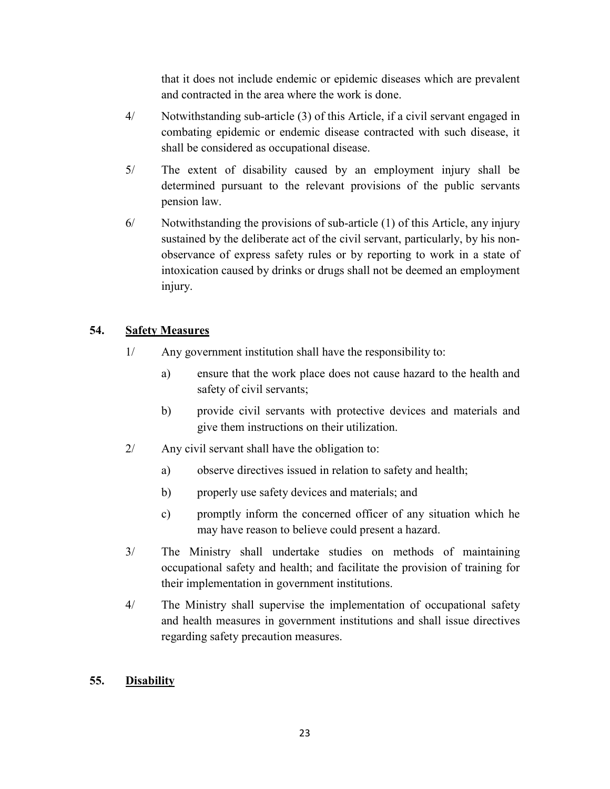that it does not include endemic or epidemic diseases which are prevalent and contracted in the area where the work is done.

- 4/ Notwithstanding sub-article (3) of this Article, if a civil servant engaged in combating epidemic or endemic disease contracted with such disease, it shall be considered as occupational disease.
- 5/ The extent of disability caused by an employment injury shall be determined pursuant to the relevant provisions of the public servants pension law.
- 6/ Notwithstanding the provisions of sub-article (1) of this Article, any injury sustained by the deliberate act of the civil servant, particularly, by his nonobservance of express safety rules or by reporting to work in a state of intoxication caused by drinks or drugs shall not be deemed an employment injury.

# **54. Safety Measures**

- 1/ Any government institution shall have the responsibility to:
	- a) ensure that the work place does not cause hazard to the health and safety of civil servants;
	- b) provide civil servants with protective devices and materials and give them instructions on their utilization.
- 2/ Any civil servant shall have the obligation to:
	- a) observe directives issued in relation to safety and health;
	- b) properly use safety devices and materials; and
	- c) promptly inform the concerned officer of any situation which he may have reason to believe could present a hazard.
- 3/ The Ministry shall undertake studies on methods of maintaining occupational safety and health; and facilitate the provision of training for their implementation in government institutions.
- 4/ The Ministry shall supervise the implementation of occupational safety and health measures in government institutions and shall issue directives regarding safety precaution measures.

## **55. Disability**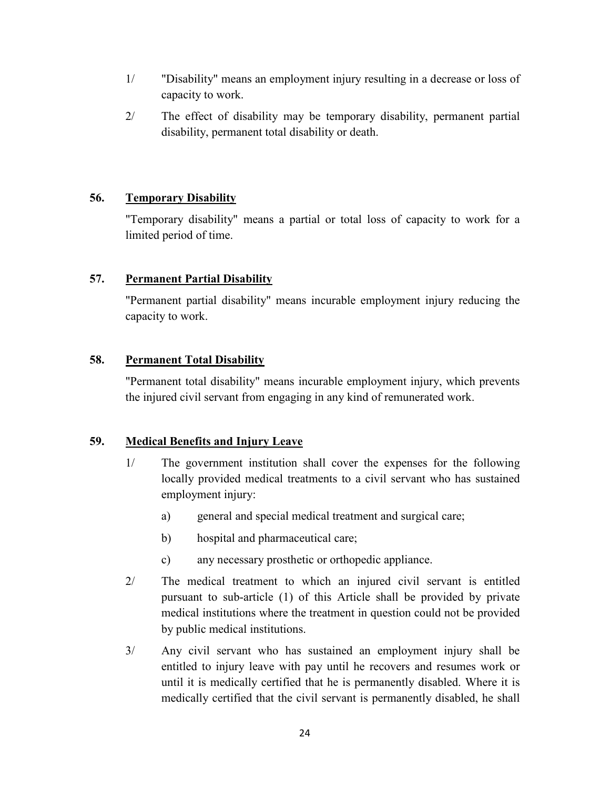- 1/ "Disability" means an employment injury resulting in a decrease or loss of capacity to work.
- 2/ The effect of disability may be temporary disability, permanent partial disability, permanent total disability or death.

## **56. Temporary Disability**

"Temporary disability" means a partial or total loss of capacity to work for a limited period of time.

# **57. Permanent Partial Disability**

"Permanent partial disability" means incurable employment injury reducing the capacity to work.

# **58. Permanent Total Disability**

"Permanent total disability" means incurable employment injury, which prevents the injured civil servant from engaging in any kind of remunerated work.

# **59. Medical Benefits and Injury Leave**

- 1/ The government institution shall cover the expenses for the following locally provided medical treatments to a civil servant who has sustained employment injury:
	- a) general and special medical treatment and surgical care;
	- b) hospital and pharmaceutical care;
	- c) any necessary prosthetic or orthopedic appliance.
- 2/ The medical treatment to which an injured civil servant is entitled pursuant to sub-article (1) of this Article shall be provided by private medical institutions where the treatment in question could not be provided by public medical institutions.
- 3/ Any civil servant who has sustained an employment injury shall be entitled to injury leave with pay until he recovers and resumes work or until it is medically certified that he is permanently disabled. Where it is medically certified that the civil servant is permanently disabled, he shall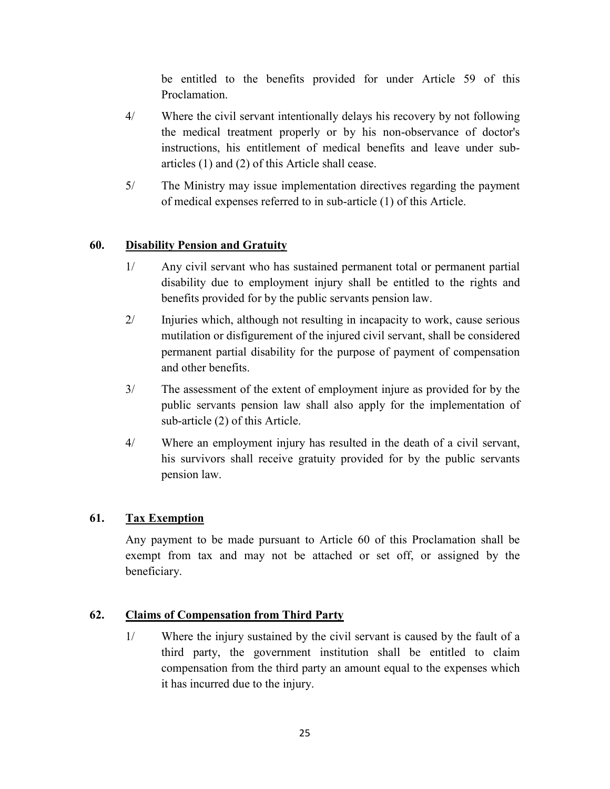be entitled to the benefits provided for under Article 59 of this Proclamation.

- 4/ Where the civil servant intentionally delays his recovery by not following the medical treatment properly or by his non-observance of doctor's instructions, his entitlement of medical benefits and leave under subarticles (1) and (2) of this Article shall cease.
- 5/ The Ministry may issue implementation directives regarding the payment of medical expenses referred to in sub-article (1) of this Article.

# **60. Disability Pension and Gratuity**

- 1/ Any civil servant who has sustained permanent total or permanent partial disability due to employment injury shall be entitled to the rights and benefits provided for by the public servants pension law.
- 2/ Injuries which, although not resulting in incapacity to work, cause serious mutilation or disfigurement of the injured civil servant, shall be considered permanent partial disability for the purpose of payment of compensation and other benefits.
- 3/ The assessment of the extent of employment injure as provided for by the public servants pension law shall also apply for the implementation of sub-article (2) of this Article.
- 4/ Where an employment injury has resulted in the death of a civil servant, his survivors shall receive gratuity provided for by the public servants pension law.

## **61. Tax Exemption**

Any payment to be made pursuant to Article 60 of this Proclamation shall be exempt from tax and may not be attached or set off, or assigned by the beneficiary.

## **62. Claims of Compensation from Third Party**

1/ Where the injury sustained by the civil servant is caused by the fault of a third party, the government institution shall be entitled to claim compensation from the third party an amount equal to the expenses which it has incurred due to the injury.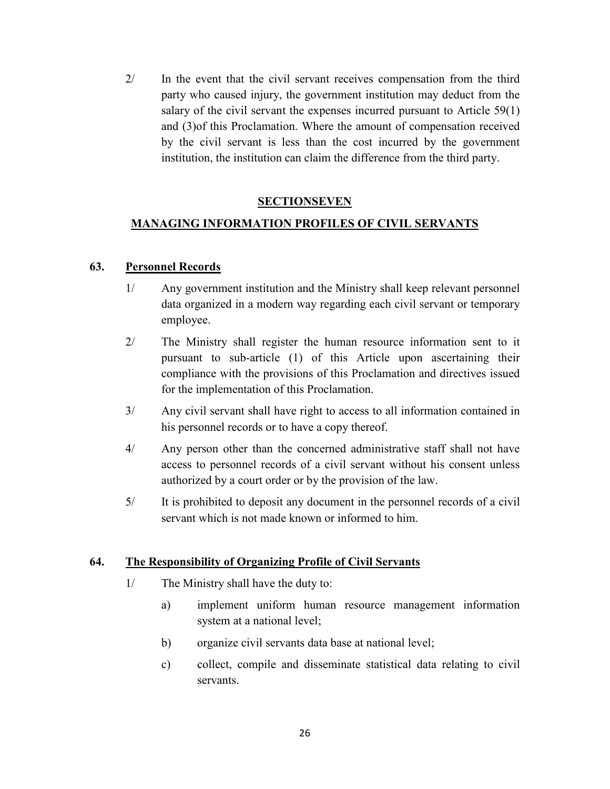2/ In the event that the civil servant receives compensation from the third party who caused injury, the government institution may deduct from the salary of the civil servant the expenses incurred pursuant to Article 59(1) and (3)of this Proclamation. Where the amount of compensation received by the civil servant is less than the cost incurred by the government institution, the institution can claim the difference from the third party.

## **SECTIONSEVEN**

# **MANAGING INFORMATION PROFILES OF CIVIL SERVANTS**

#### **63. Personnel Records**

- 1/ Any government institution and the Ministry shall keep relevant personnel data organized in a modern way regarding each civil servant or temporary employee.
- 2/ The Ministry shall register the human resource information sent to it pursuant to sub-article (1) of this Article upon ascertaining their compliance with the provisions of this Proclamation and directives issued for the implementation of this Proclamation.
- 3/ Any civil servant shall have right to access to all information contained in his personnel records or to have a copy thereof.
- 4/ Any person other than the concerned administrative staff shall not have access to personnel records of a civil servant without his consent unless authorized by a court order or by the provision of the law.
- 5/ It is prohibited to deposit any document in the personnel records of a civil servant which is not made known or informed to him.

#### **64. The Responsibility of Organizing Profile of Civil Servants**

- 1/ The Ministry shall have the duty to:
	- a) implement uniform human resource management information system at a national level;
	- b) organize civil servants data base at national level;
	- c) collect, compile and disseminate statistical data relating to civil servants.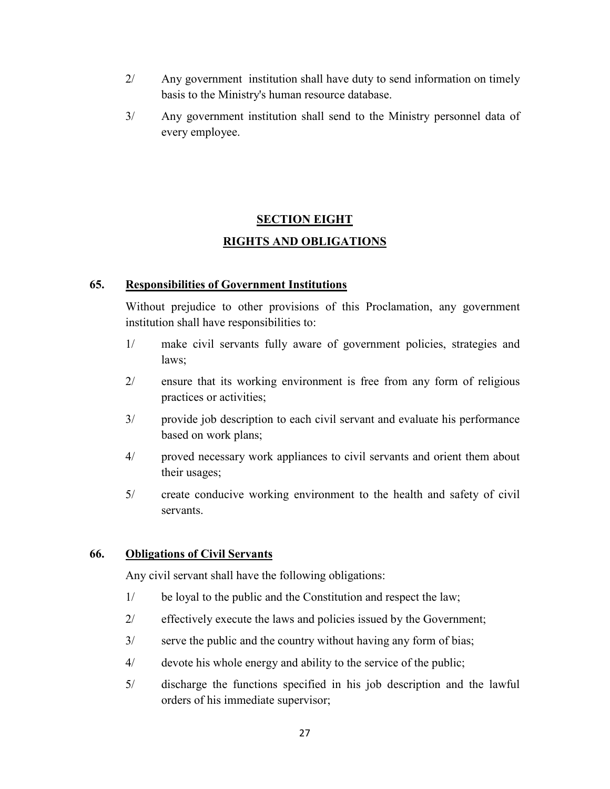- 2/ Any government institution shall have duty to send information on timely basis to the Ministry's human resource database.
- 3/ Any government institution shall send to the Ministry personnel data of every employee.

# **SECTION EIGHT RIGHTS AND OBLIGATIONS**

#### **65. Responsibilities of Government Institutions**

Without prejudice to other provisions of this Proclamation, any government institution shall have responsibilities to:

- 1/ make civil servants fully aware of government policies, strategies and laws;
- 2/ ensure that its working environment is free from any form of religious practices or activities;
- 3/ provide job description to each civil servant and evaluate his performance based on work plans;
- 4/ proved necessary work appliances to civil servants and orient them about their usages;
- 5/ create conducive working environment to the health and safety of civil servants.

## **66. Obligations of Civil Servants**

Any civil servant shall have the following obligations:

- 1/ be loyal to the public and the Constitution and respect the law;
- 2/ effectively execute the laws and policies issued by the Government;
- 3/ serve the public and the country without having any form of bias;
- 4/ devote his whole energy and ability to the service of the public;
- 5/ discharge the functions specified in his job description and the lawful orders of his immediate supervisor;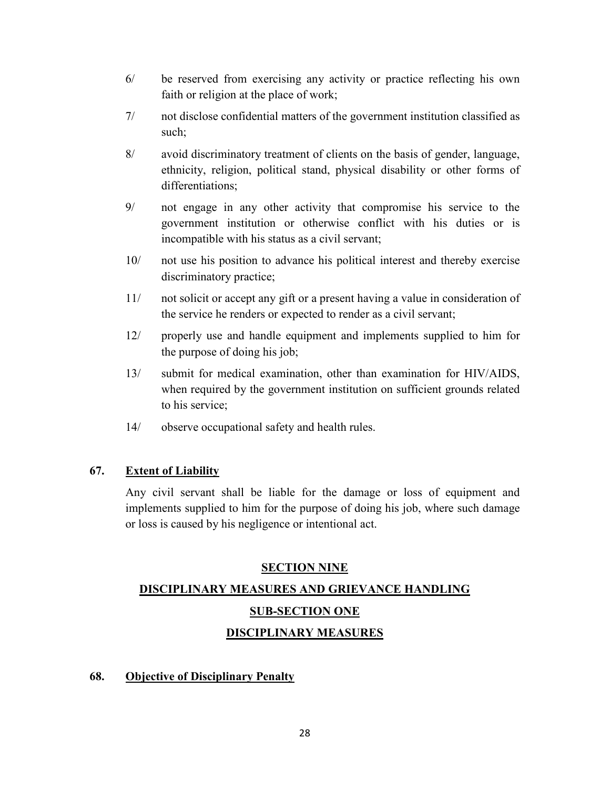- 6/ be reserved from exercising any activity or practice reflecting his own faith or religion at the place of work;
- 7/ not disclose confidential matters of the government institution classified as such;
- 8/ avoid discriminatory treatment of clients on the basis of gender, language, ethnicity, religion, political stand, physical disability or other forms of differentiations;
- 9/ not engage in any other activity that compromise his service to the government institution or otherwise conflict with his duties or is incompatible with his status as a civil servant;
- 10/ not use his position to advance his political interest and thereby exercise discriminatory practice;
- 11/ not solicit or accept any gift or a present having a value in consideration of the service he renders or expected to render as a civil servant;
- 12/ properly use and handle equipment and implements supplied to him for the purpose of doing his job;
- 13/ submit for medical examination, other than examination for HIV/AIDS, when required by the government institution on sufficient grounds related to his service;
- 14/ observe occupational safety and health rules.

## **67. Extent of Liability**

Any civil servant shall be liable for the damage or loss of equipment and implements supplied to him for the purpose of doing his job, where such damage or loss is caused by his negligence or intentional act.

## **SECTION NINE**

# **DISCIPLINARY MEASURES AND GRIEVANCE HANDLING SUB-SECTION ONE DISCIPLINARY MEASURES**

## **68. Objective of Disciplinary Penalty**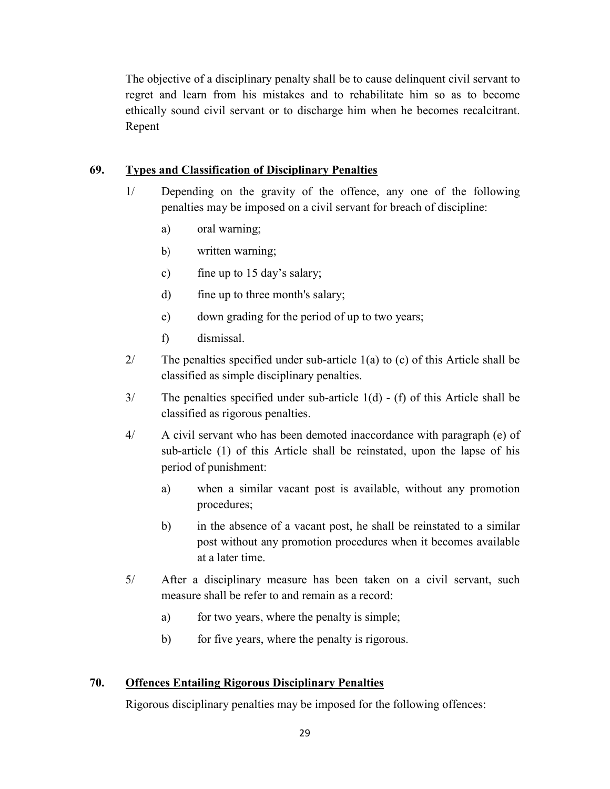The objective of a disciplinary penalty shall be to cause delinquent civil servant to regret and learn from his mistakes and to rehabilitate him so as to become ethically sound civil servant or to discharge him when he becomes recalcitrant. Repent

## **69. Types and Classification of Disciplinary Penalties**

- 1/ Depending on the gravity of the offence, any one of the following penalties may be imposed on a civil servant for breach of discipline:
	- a) oral warning;
	- b) written warning;
	- c) fine up to 15 day's salary;
	- d) fine up to three month's salary;
	- e) down grading for the period of up to two years;
	- f) dismissal.
- 2/ The penalties specified under sub-article 1(a) to (c) of this Article shall be classified as simple disciplinary penalties.
- 3/ The penalties specified under sub-article 1(d) (f) of this Article shall be classified as rigorous penalties.
- 4/ A civil servant who has been demoted inaccordance with paragraph (e) of sub-article (1) of this Article shall be reinstated, upon the lapse of his period of punishment:
	- a) when a similar vacant post is available, without any promotion procedures;
	- b) in the absence of a vacant post, he shall be reinstated to a similar post without any promotion procedures when it becomes available at a later time.
- 5/ After a disciplinary measure has been taken on a civil servant, such measure shall be refer to and remain as a record:
	- a) for two years, where the penalty is simple;
	- b) for five years, where the penalty is rigorous.

## **70. Offences Entailing Rigorous Disciplinary Penalties**

Rigorous disciplinary penalties may be imposed for the following offences: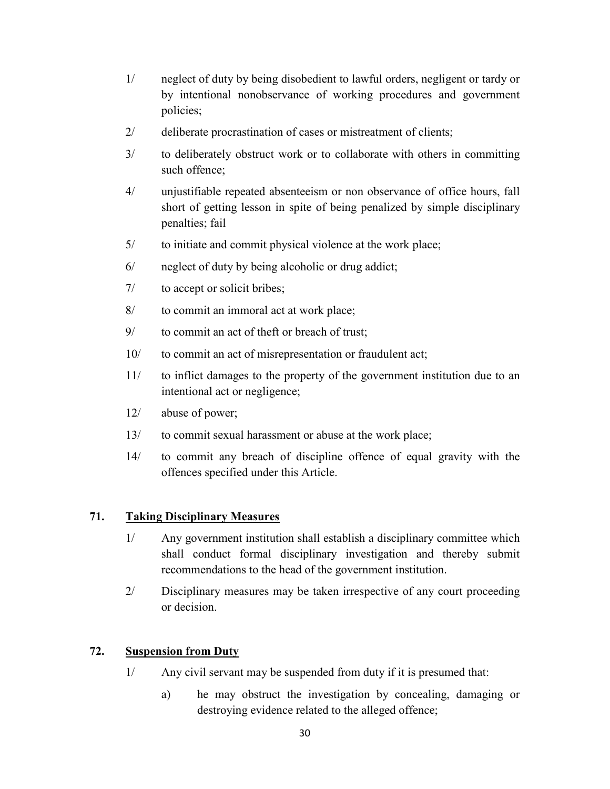- 1/ neglect of duty by being disobedient to lawful orders, negligent or tardy or by intentional nonobservance of working procedures and government policies;
- 2/ deliberate procrastination of cases or mistreatment of clients;
- 3/ to deliberately obstruct work or to collaborate with others in committing such offence;
- 4/ unjustifiable repeated absenteeism or non observance of office hours, fall short of getting lesson in spite of being penalized by simple disciplinary penalties; fail
- 5/ to initiate and commit physical violence at the work place;
- 6/ neglect of duty by being alcoholic or drug addict;
- 7/ to accept or solicit bribes;
- 8/ to commit an immoral act at work place;
- 9/ to commit an act of theft or breach of trust;
- 10/ to commit an act of misrepresentation or fraudulent act;
- 11/ to inflict damages to the property of the government institution due to an intentional act or negligence;
- 12/ abuse of power;
- 13/ to commit sexual harassment or abuse at the work place;
- 14/ to commit any breach of discipline offence of equal gravity with the offences specified under this Article.

# **71. Taking Disciplinary Measures**

- 1/ Any government institution shall establish a disciplinary committee which shall conduct formal disciplinary investigation and thereby submit recommendations to the head of the government institution.
- 2/ Disciplinary measures may be taken irrespective of any court proceeding or decision.

## **72. Suspension from Duty**

- 1/ Any civil servant may be suspended from duty if it is presumed that:
	- a) he may obstruct the investigation by concealing, damaging or destroying evidence related to the alleged offence;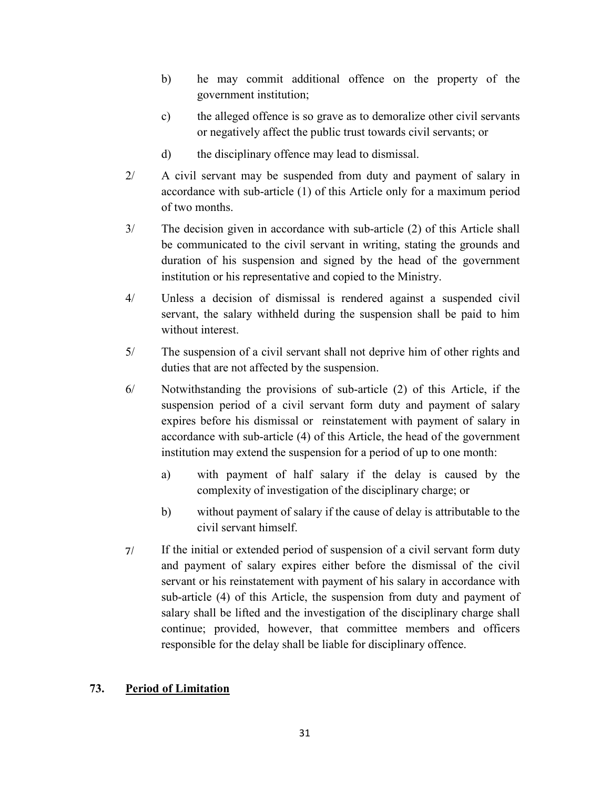- b) he may commit additional offence on the property of the government institution;
- c) the alleged offence is so grave as to demoralize other civil servants or negatively affect the public trust towards civil servants; or
- d) the disciplinary offence may lead to dismissal.
- 2/ A civil servant may be suspended from duty and payment of salary in accordance with sub-article (1) of this Article only for a maximum period of two months.
- 3/ The decision given in accordance with sub-article (2) of this Article shall be communicated to the civil servant in writing, stating the grounds and duration of his suspension and signed by the head of the government institution or his representative and copied to the Ministry.
- 4/ Unless a decision of dismissal is rendered against a suspended civil servant, the salary withheld during the suspension shall be paid to him without interest.
- 5/ The suspension of a civil servant shall not deprive him of other rights and duties that are not affected by the suspension.
- 6/ Notwithstanding the provisions of sub-article (2) of this Article, if the suspension period of a civil servant form duty and payment of salary expires before his dismissal or reinstatement with payment of salary in accordance with sub-article (4) of this Article, the head of the government institution may extend the suspension for a period of up to one month:
	- a) with payment of half salary if the delay is caused by the complexity of investigation of the disciplinary charge; or
	- b) without payment of salary if the cause of delay is attributable to the civil servant himself.
- 7/ If the initial or extended period of suspension of a civil servant form duty and payment of salary expires either before the dismissal of the civil servant or his reinstatement with payment of his salary in accordance with sub-article (4) of this Article, the suspension from duty and payment of salary shall be lifted and the investigation of the disciplinary charge shall continue; provided, however, that committee members and officers responsible for the delay shall be liable for disciplinary offence.

## **73. Period of Limitation**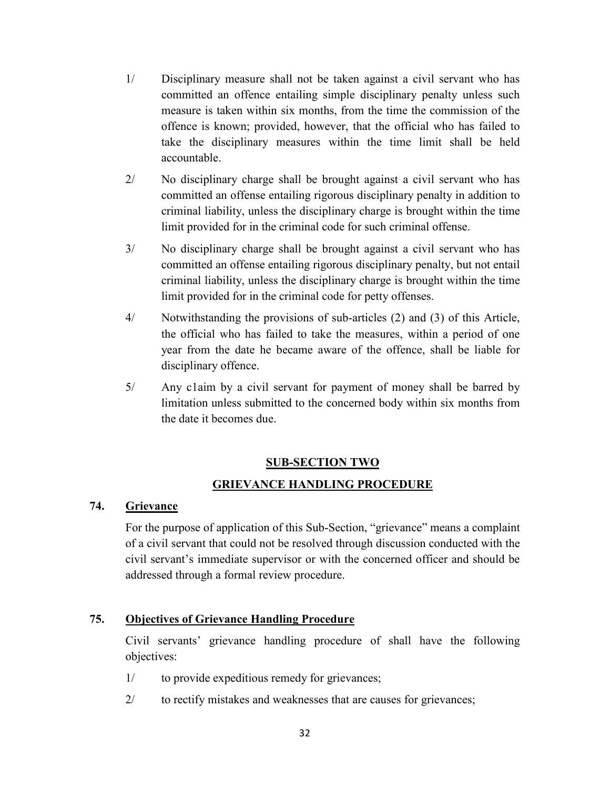- 1/ Disciplinary measure shall not be taken against a civil servant who has committed an offence entailing simple disciplinary penalty unless such measure is taken within six months, from the time the commission of the offence is known; provided, however, that the official who has failed to take the disciplinary measures within the time limit shall be held accountable.
- 2/ No disciplinary charge shall be brought against a civil servant who has committed an offense entailing rigorous disciplinary penalty in addition to criminal liability, unless the disciplinary charge is brought within the time limit provided for in the criminal code for such criminal offense.
- 3/ No disciplinary charge shall be brought against a civil servant who has committed an offense entailing rigorous disciplinary penalty, but not entail criminal liability, unless the disciplinary charge is brought within the time limit provided for in the criminal code for petty offenses.
- 4/ Notwithstanding the provisions of sub-articles (2) and (3) of this Article, the official who has failed to take the measures, within a period of one year from the date he became aware of the offence, shall be liable for disciplinary offence.
- 5/ Any c1aim by a civil servant for payment of money shall be barred by limitation unless submitted to the concerned body within six months from the date it becomes due.

## **SUB-SECTION TWO**

## **GRIEVANCE HANDLING PROCEDURE**

#### **74. Grievance**

For the purpose of application of this Sub-Section, "grievance" means a complaint of a civil servant that could not be resolved through discussion conducted with the civil servant's immediate supervisor or with the concerned officer and should be addressed through a formal review procedure.

## **75. Objectives of Grievance Handling Procedure**

Civil servants' grievance handling procedure of shall have the following objectives:

- 1/ to provide expeditious remedy for grievances;
- 2/ to rectify mistakes and weaknesses that are causes for grievances;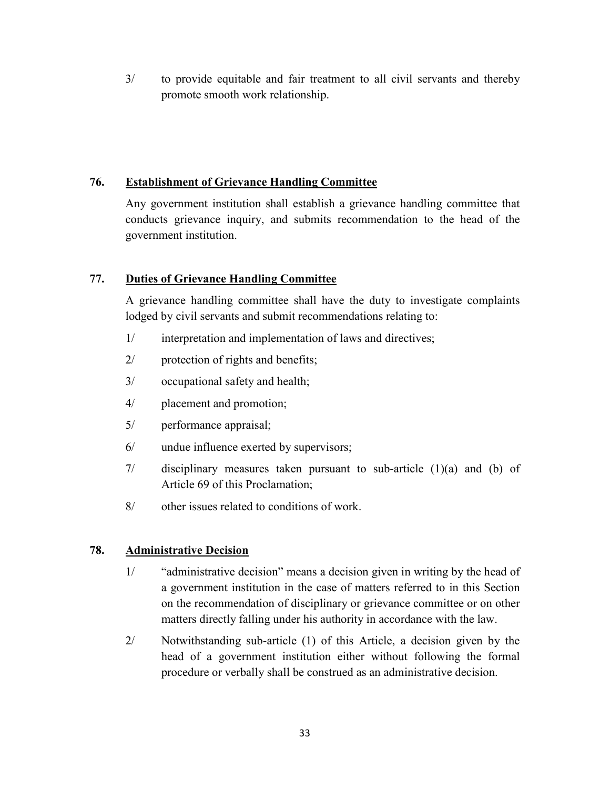3/ to provide equitable and fair treatment to all civil servants and thereby promote smooth work relationship.

## **76. Establishment of Grievance Handling Committee**

Any government institution shall establish a grievance handling committee that conducts grievance inquiry, and submits recommendation to the head of the government institution.

# **77. Duties of Grievance Handling Committee**

A grievance handling committee shall have the duty to investigate complaints lodged by civil servants and submit recommendations relating to:

- 1/ interpretation and implementation of laws and directives;
- 2/ protection of rights and benefits;
- 3/ occupational safety and health;
- 4/ placement and promotion;
- 5/ performance appraisal;
- 6/ undue influence exerted by supervisors;
- 7/ disciplinary measures taken pursuant to sub-article (1)(a) and (b) of Article 69 of this Proclamation;
- 8/ other issues related to conditions of work.

## **78. Administrative Decision**

- 1/ "administrative decision" means a decision given in writing by the head of a government institution in the case of matters referred to in this Section on the recommendation of disciplinary or grievance committee or on other matters directly falling under his authority in accordance with the law.
- 2/ Notwithstanding sub-article (1) of this Article, a decision given by the head of a government institution either without following the formal procedure or verbally shall be construed as an administrative decision.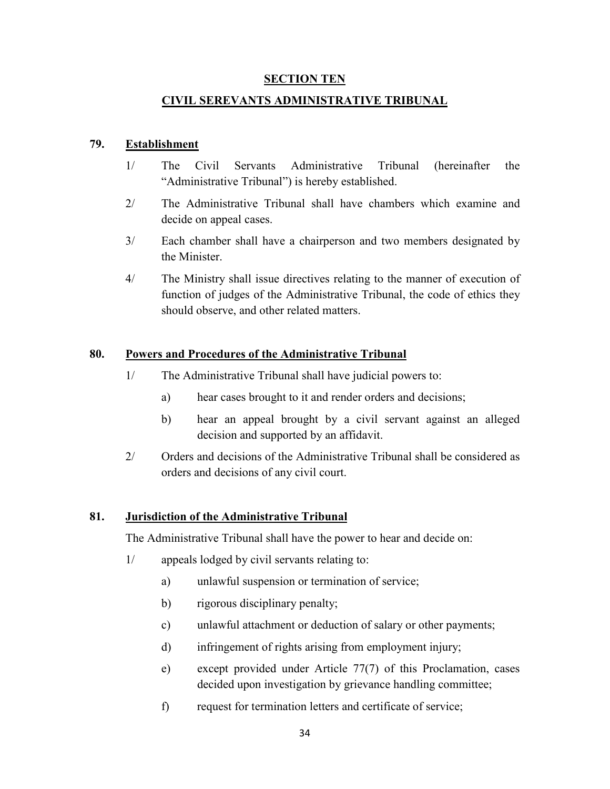#### **SECTION TEN**

#### **CIVIL SEREVANTS ADMINISTRATIVE TRIBUNAL**

#### **79. Establishment**

- 1/ The Civil Servants Administrative Tribunal (hereinafter the "Administrative Tribunal") is hereby established.
- 2/ The Administrative Tribunal shall have chambers which examine and decide on appeal cases.
- 3/ Each chamber shall have a chairperson and two members designated by the Minister.
- 4/ The Ministry shall issue directives relating to the manner of execution of function of judges of the Administrative Tribunal, the code of ethics they should observe, and other related matters.

#### **80. Powers and Procedures of the Administrative Tribunal**

- 1/ The Administrative Tribunal shall have judicial powers to:
	- a) hear cases brought to it and render orders and decisions;
	- b) hear an appeal brought by a civil servant against an alleged decision and supported by an affidavit.
- 2/ Orders and decisions of the Administrative Tribunal shall be considered as orders and decisions of any civil court.

#### **81. Jurisdiction of the Administrative Tribunal**

The Administrative Tribunal shall have the power to hear and decide on:

- 1/ appeals lodged by civil servants relating to:
	- a) unlawful suspension or termination of service;
	- b) rigorous disciplinary penalty;
	- c) unlawful attachment or deduction of salary or other payments;
	- d) infringement of rights arising from employment injury;
	- e) except provided under Article 77(7) of this Proclamation, cases decided upon investigation by grievance handling committee;
	- f) request for termination letters and certificate of service;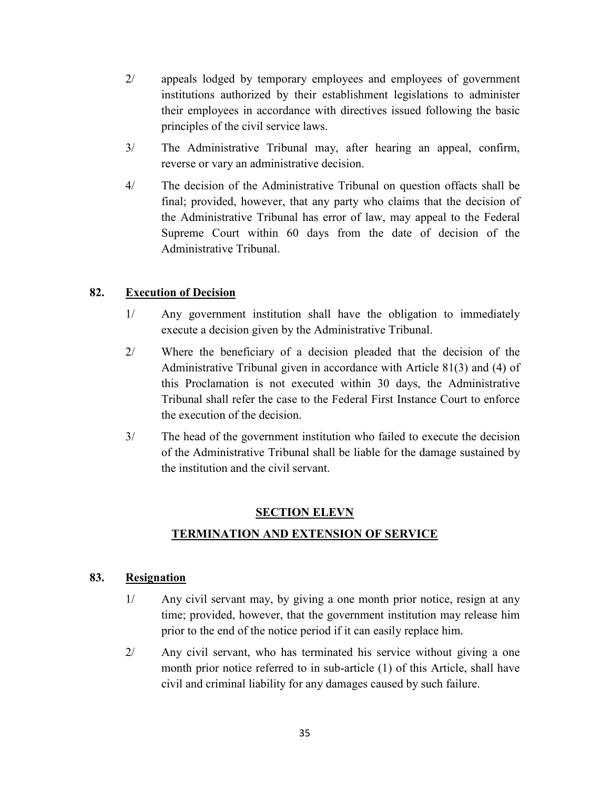- 2/ appeals lodged by temporary employees and employees of government institutions authorized by their establishment legislations to administer their employees in accordance with directives issued following the basic principles of the civil service laws.
- 3/ The Administrative Tribunal may, after hearing an appeal, confirm, reverse or vary an administrative decision.
- 4/ The decision of the Administrative Tribunal on question offacts shall be final; provided, however, that any party who claims that the decision of the Administrative Tribunal has error of law, may appeal to the Federal Supreme Court within 60 days from the date of decision of the Administrative Tribunal.

# **82. Execution of Decision**

- 1/ Any government institution shall have the obligation to immediately execute a decision given by the Administrative Tribunal.
- 2/ Where the beneficiary of a decision pleaded that the decision of the Administrative Tribunal given in accordance with Article 81(3) and (4) of this Proclamation is not executed within 30 days, the Administrative Tribunal shall refer the case to the Federal First Instance Court to enforce the execution of the decision.
- 3/ The head of the government institution who failed to execute the decision of the Administrative Tribunal shall be liable for the damage sustained by the institution and the civil servant.

# **SECTION ELEVN**

# **TERMINATION AND EXTENSION OF SERVICE**

## **83. Resignation**

- 1/ Any civil servant may, by giving a one month prior notice, resign at any time; provided, however, that the government institution may release him prior to the end of the notice period if it can easily replace him.
- 2/ Any civil servant, who has terminated his service without giving a one month prior notice referred to in sub-article (1) of this Article, shall have civil and criminal liability for any damages caused by such failure.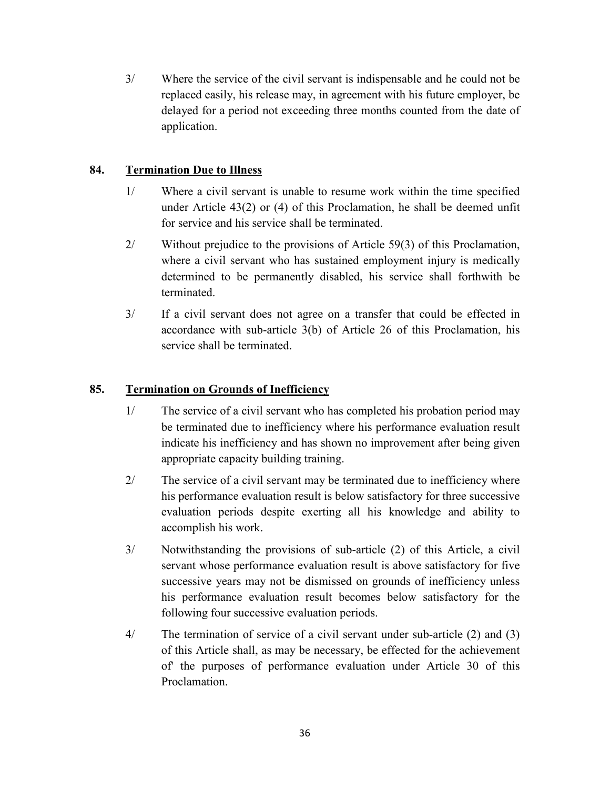3/ Where the service of the civil servant is indispensable and he could not be replaced easily, his release may, in agreement with his future employer, be delayed for a period not exceeding three months counted from the date of application.

## **84. Termination Due to Illness**

- 1/ Where a civil servant is unable to resume work within the time specified under Article 43(2) or (4) of this Proclamation, he shall be deemed unfit for service and his service shall be terminated.
- 2/ Without prejudice to the provisions of Article 59(3) of this Proclamation, where a civil servant who has sustained employment injury is medically determined to be permanently disabled, his service shall forthwith be terminated.
- 3/ If a civil servant does not agree on a transfer that could be effected in accordance with sub-article 3(b) of Article 26 of this Proclamation, his service shall be terminated.

# **85. Termination on Grounds of Inefficiency**

- 1/ The service of a civil servant who has completed his probation period may be terminated due to inefficiency where his performance evaluation result indicate his inefficiency and has shown no improvement after being given appropriate capacity building training.
- 2/ The service of a civil servant may be terminated due to inefficiency where his performance evaluation result is below satisfactory for three successive evaluation periods despite exerting all his knowledge and ability to accomplish his work.
- 3/ Notwithstanding the provisions of sub-article (2) of this Article, a civil servant whose performance evaluation result is above satisfactory for five successive years may not be dismissed on grounds of inefficiency unless his performance evaluation result becomes below satisfactory for the following four successive evaluation periods.
- 4/ The termination of service of a civil servant under sub-article (2) and (3) of this Article shall, as may be necessary, be effected for the achievement of' the purposes of performance evaluation under Article 30 of this Proclamation.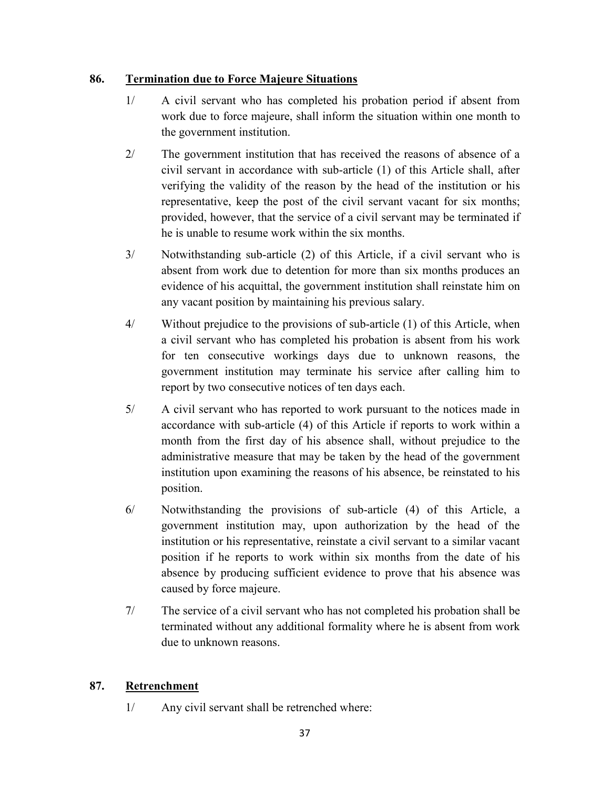## **86. Termination due to Force Majeure Situations**

- 1/ A civil servant who has completed his probation period if absent from work due to force majeure, shall inform the situation within one month to the government institution.
- 2/ The government institution that has received the reasons of absence of a civil servant in accordance with sub-article (1) of this Article shall, after verifying the validity of the reason by the head of the institution or his representative, keep the post of the civil servant vacant for six months; provided, however, that the service of a civil servant may be terminated if he is unable to resume work within the six months.
- 3/ Notwithstanding sub-article (2) of this Article, if a civil servant who is absent from work due to detention for more than six months produces an evidence of his acquittal, the government institution shall reinstate him on any vacant position by maintaining his previous salary.
- 4/ Without prejudice to the provisions of sub-article (1) of this Article, when a civil servant who has completed his probation is absent from his work for ten consecutive workings days due to unknown reasons, the government institution may terminate his service after calling him to report by two consecutive notices of ten days each.
- 5/ A civil servant who has reported to work pursuant to the notices made in accordance with sub-article (4) of this Article if reports to work within a month from the first day of his absence shall, without prejudice to the administrative measure that may be taken by the head of the government institution upon examining the reasons of his absence, be reinstated to his position.
- 6/ Notwithstanding the provisions of sub-article (4) of this Article, a government institution may, upon authorization by the head of the institution or his representative, reinstate a civil servant to a similar vacant position if he reports to work within six months from the date of his absence by producing sufficient evidence to prove that his absence was caused by force majeure.
- 7/ The service of a civil servant who has not completed his probation shall be terminated without any additional formality where he is absent from work due to unknown reasons.

# **87. Retrenchment**

1/ Any civil servant shall be retrenched where: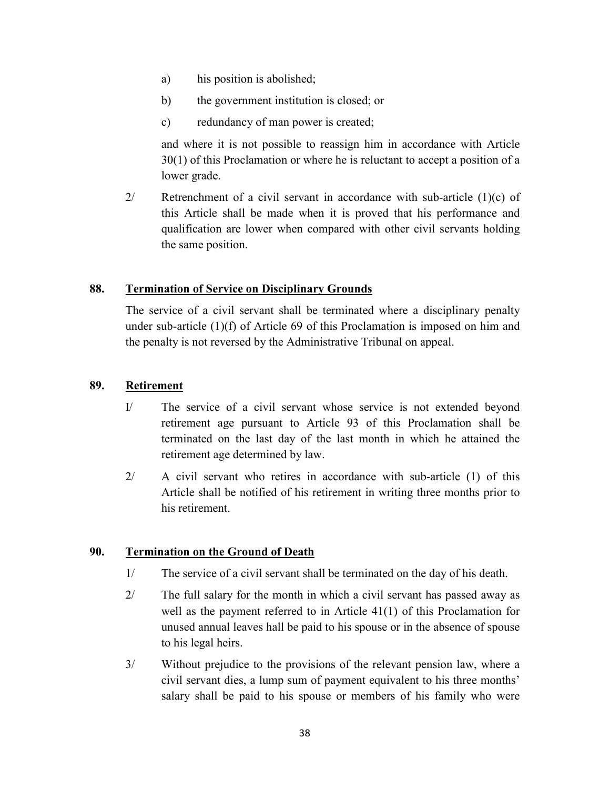- a) his position is abolished;
- b) the government institution is closed; or
- c) redundancy of man power is created;

and where it is not possible to reassign him in accordance with Article 30(1) of this Proclamation or where he is reluctant to accept a position of a lower grade.

2/ Retrenchment of a civil servant in accordance with sub-article  $(1)(c)$  of this Article shall be made when it is proved that his performance and qualification are lower when compared with other civil servants holding the same position.

#### **88. Termination of Service on Disciplinary Grounds**

The service of a civil servant shall be terminated where a disciplinary penalty under sub-article  $(1)(f)$  of Article 69 of this Proclamation is imposed on him and the penalty is not reversed by the Administrative Tribunal on appeal.

#### **89. Retirement**

- I/ The service of a civil servant whose service is not extended beyond retirement age pursuant to Article 93 of this Proclamation shall be terminated on the last day of the last month in which he attained the retirement age determined by law.
- 2/ A civil servant who retires in accordance with sub-article (1) of this Article shall be notified of his retirement in writing three months prior to his retirement.

#### **90. Termination on the Ground of Death**

- 1/ The service of a civil servant shall be terminated on the day of his death.
- 2/ The full salary for the month in which a civil servant has passed away as well as the payment referred to in Article 41(1) of this Proclamation for unused annual leaves hall be paid to his spouse or in the absence of spouse to his legal heirs.
- 3/ Without prejudice to the provisions of the relevant pension law, where a civil servant dies, a lump sum of payment equivalent to his three months' salary shall be paid to his spouse or members of his family who were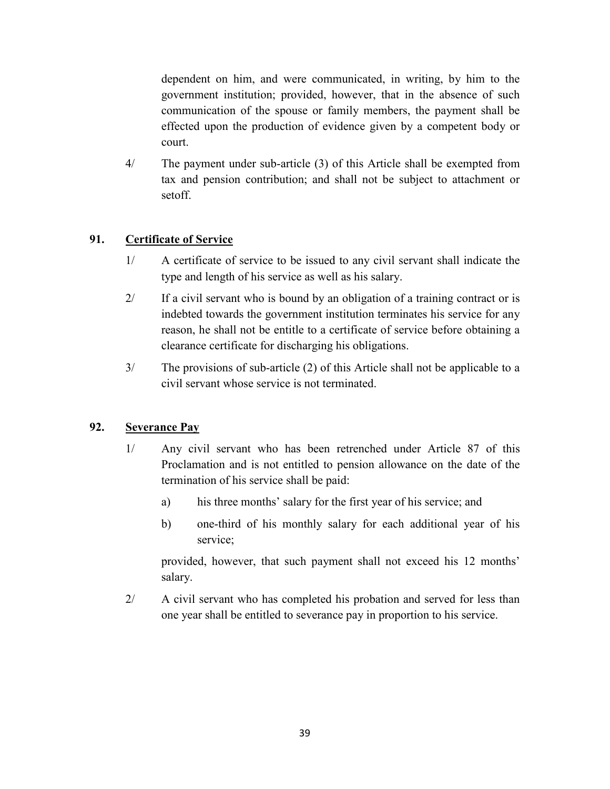dependent on him, and were communicated, in writing, by him to the government institution; provided, however, that in the absence of such communication of the spouse or family members, the payment shall be effected upon the production of evidence given by a competent body or court.

4/ The payment under sub-article (3) of this Article shall be exempted from tax and pension contribution; and shall not be subject to attachment or setoff.

# **91. Certificate of Service**

- 1/ A certificate of service to be issued to any civil servant shall indicate the type and length of his service as well as his salary.
- 2/ If a civil servant who is bound by an obligation of a training contract or is indebted towards the government institution terminates his service for any reason, he shall not be entitle to a certificate of service before obtaining a clearance certificate for discharging his obligations.
- 3/ The provisions of sub-article (2) of this Article shall not be applicable to a civil servant whose service is not terminated.

# **92. Severance Pay**

- 1/ Any civil servant who has been retrenched under Article 87 of this Proclamation and is not entitled to pension allowance on the date of the termination of his service shall be paid:
	- a) his three months' salary for the first year of his service; and
	- b) one-third of his monthly salary for each additional year of his service;

provided, however, that such payment shall not exceed his 12 months' salary.

2/ A civil servant who has completed his probation and served for less than one year shall be entitled to severance pay in proportion to his service.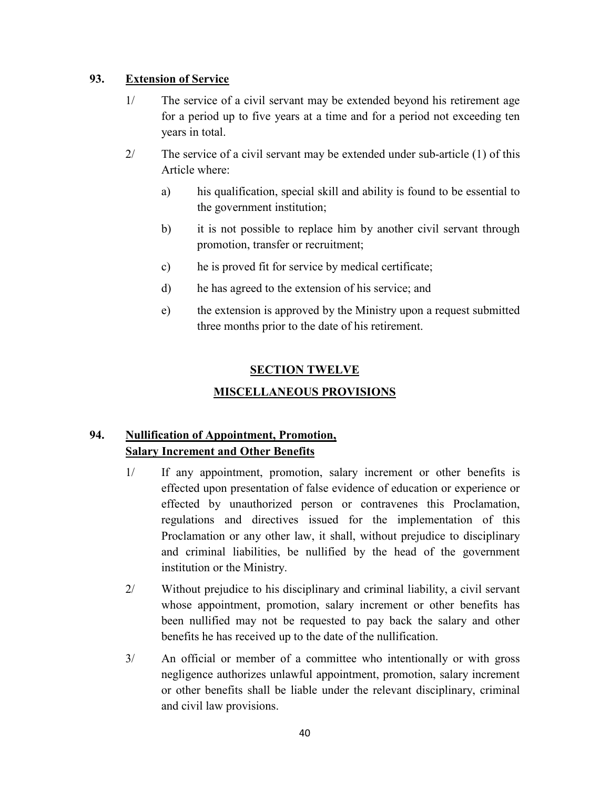## **93. Extension of Service**

- 1/ The service of a civil servant may be extended beyond his retirement age for a period up to five years at a time and for a period not exceeding ten years in total.
- 2/ The service of a civil servant may be extended under sub-article (1) of this Article where:
	- a) his qualification, special skill and ability is found to be essential to the government institution;
	- b) it is not possible to replace him by another civil servant through promotion, transfer or recruitment;
	- c) he is proved fit for service by medical certificate;
	- d) he has agreed to the extension of his service; and
	- e) the extension is approved by the Ministry upon a request submitted three months prior to the date of his retirement.

# **SECTION TWELVE**

# **MISCELLANEOUS PROVISIONS**

# **94. Nullification of Appointment, Promotion, Salary Increment and Other Benefits**

- 1/ If any appointment, promotion, salary increment or other benefits is effected upon presentation of false evidence of education or experience or effected by unauthorized person or contravenes this Proclamation, regulations and directives issued for the implementation of this Proclamation or any other law, it shall, without prejudice to disciplinary and criminal liabilities, be nullified by the head of the government institution or the Ministry.
- 2/ Without prejudice to his disciplinary and criminal liability, a civil servant whose appointment, promotion, salary increment or other benefits has been nullified may not be requested to pay back the salary and other benefits he has received up to the date of the nullification.
- 3/ An official or member of a committee who intentionally or with gross negligence authorizes unlawful appointment, promotion, salary increment or other benefits shall be liable under the relevant disciplinary, criminal and civil law provisions.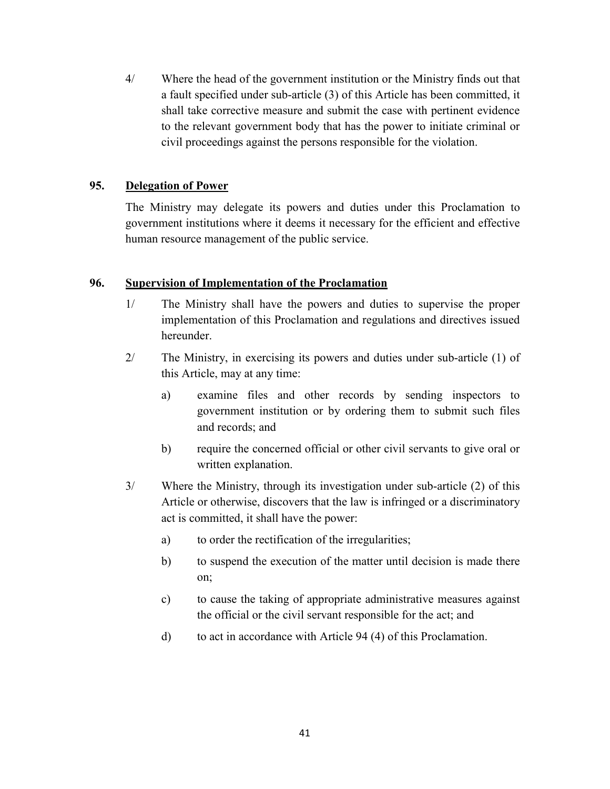4/ Where the head of the government institution or the Ministry finds out that a fault specified under sub-article (3) of this Article has been committed, it shall take corrective measure and submit the case with pertinent evidence to the relevant government body that has the power to initiate criminal or civil proceedings against the persons responsible for the violation.

#### **95. Delegation of Power**

The Ministry may delegate its powers and duties under this Proclamation to government institutions where it deems it necessary for the efficient and effective human resource management of the public service.

#### **96. Supervision of Implementation of the Proclamation**

- 1/ The Ministry shall have the powers and duties to supervise the proper implementation of this Proclamation and regulations and directives issued hereunder.
- 2/ The Ministry, in exercising its powers and duties under sub-article (1) of this Article, may at any time:
	- a) examine files and other records by sending inspectors to government institution or by ordering them to submit such files and records; and
	- b) require the concerned official or other civil servants to give oral or written explanation.
- 3/ Where the Ministry, through its investigation under sub-article (2) of this Article or otherwise, discovers that the law is infringed or a discriminatory act is committed, it shall have the power:
	- a) to order the rectification of the irregularities;
	- b) to suspend the execution of the matter until decision is made there on;
	- c) to cause the taking of appropriate administrative measures against the official or the civil servant responsible for the act; and
	- d) to act in accordance with Article 94 (4) of this Proclamation.